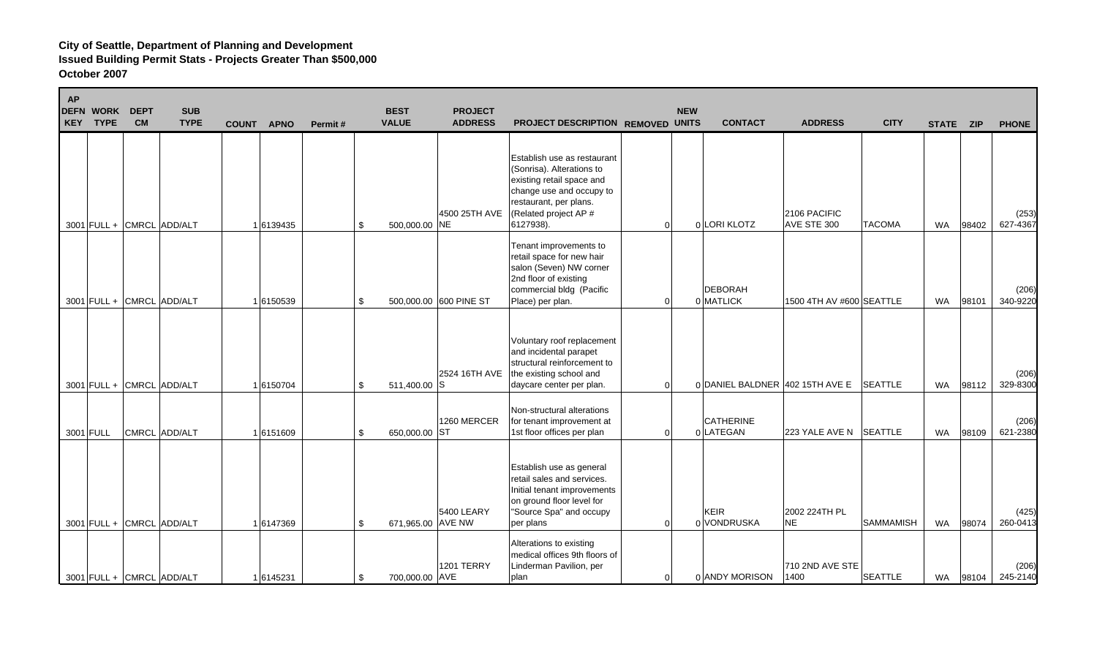| <b>AP</b> | <b>DEFN WORK</b><br><b>KEY TYPE</b> | <b>DEPT</b><br><b>CM</b> | <b>SUB</b><br><b>TYPE</b> | <b>COUNT</b> | <b>APNO</b> | Permit# | <b>BEST</b><br><b>VALUE</b> | <b>PROJECT</b><br><b>ADDRESS</b> | PROJECT DESCRIPTION REMOVED UNITS                                                                                                                                                 |          | <b>NEW</b> | <b>CONTACT</b>                | <b>ADDRESS</b>                  | <b>CITY</b>      | STATE ZIP |       | <b>PHONE</b>      |
|-----------|-------------------------------------|--------------------------|---------------------------|--------------|-------------|---------|-----------------------------|----------------------------------|-----------------------------------------------------------------------------------------------------------------------------------------------------------------------------------|----------|------------|-------------------------------|---------------------------------|------------------|-----------|-------|-------------------|
|           |                                     |                          | 3001 FULL + CMRCL ADD/ALT |              | 1 6139435   |         | \$<br>500,000.00 NE         | 4500 25TH AVE                    | Establish use as restaurant<br>(Sonrisa). Alterations to<br>existing retail space and<br>change use and occupy to<br>restaurant, per plans.<br>(Related project AP #<br>6127938). | 0        |            | 0 LORI KLOTZ                  | 2106 PACIFIC<br>AVE STE 300     | <b>TACOMA</b>    | <b>WA</b> | 98402 | (253)<br>627-4367 |
|           |                                     |                          | 3001 FULL + CMRCL ADD/ALT |              | 16150539    |         | \$                          | 500,000.00 600 PINE ST           | Tenant improvements to<br>retail space for new hair<br>salon (Seven) NW corner<br>2nd floor of existing<br>commercial bldg (Pacific<br>Place) per plan.                           | $\Omega$ |            | DEBORAH<br>0 MATLICK          | 1500 4TH AV #600 SEATTLE        |                  | <b>WA</b> | 98101 | (206)<br>340-9220 |
|           |                                     |                          | 3001 FULL + CMRCL ADD/ALT |              | 16150704    |         | \$<br>511,400.00 S          | 2524 16TH AVE                    | Voluntary roof replacement<br>and incidental parapet<br>structural reinforcement to<br>the existing school and<br>daycare center per plan.                                        | $\Omega$ |            |                               | 0 DANIEL BALDNER 402 15TH AVE E | <b>SEATTLE</b>   | <b>WA</b> | 98112 | (206)<br>329-8300 |
|           | 3001 FULL                           |                          | CMRCL ADD/ALT             |              | 16151609    |         | \$<br>650,000.00 ST         | 1260 MERCER                      | Non-structural alterations<br>for tenant improvement at<br>1st floor offices per plan                                                                                             | $\Omega$ |            | <b>CATHERINE</b><br>0 LATEGAN | 223 YALE AVE N                  | <b>SEATTLE</b>   | <b>WA</b> | 98109 | (206)<br>621-2380 |
|           |                                     |                          | 3001 FULL + CMRCL ADD/ALT |              | 1 6147369   |         | \$<br>671,965.00 AVE NW     | 5400 LEARY                       | Establish use as general<br>retail sales and services.<br>Initial tenant improvements<br>on ground floor level for<br>"Source Spa" and occupy<br>per plans                        | $\Omega$ |            | <b>KEIR</b><br>0 VONDRUSKA    | 2002 224TH PL<br><b>NE</b>      | <b>SAMMAMISH</b> | <b>WA</b> | 98074 | (425)<br>260-0413 |
|           |                                     |                          | 3001 FULL + CMRCL ADD/ALT |              | 1 6145231   |         | \$<br>700,000.00 AVE        | <b>1201 TERRY</b>                | Alterations to existing<br>medical offices 9th floors of<br>Linderman Pavilion, per<br>plan                                                                                       | 0        |            | 0 ANDY MORISON                | 710 2ND AVE STE<br>1400         | <b>SEATTLE</b>   | WA        | 98104 | (206)<br>245-2140 |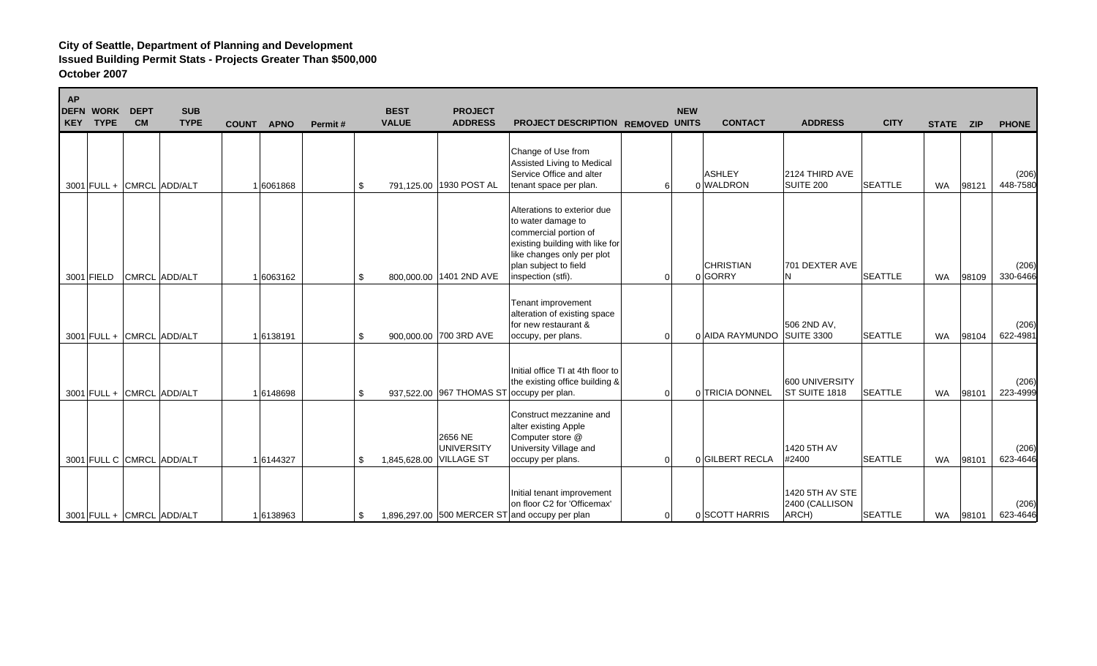| AP<br>KEY | <b>DEFN WORK</b><br><b>TYPE</b> | <b>DEPT</b><br><b>CM</b> | <b>SUB</b><br><b>TYPE</b> | COUNT APNO | Permit# | <b>BEST</b><br><b>VALUE</b> | <b>PROJECT</b><br><b>ADDRESS</b>                 | PROJECT DESCRIPTION REMOVED UNITS                                                                                                                                                          |                | <b>NEW</b> | <b>CONTACT</b>              | <b>ADDRESS</b>                             | <b>CITY</b>    | STATE ZIP |       | <b>PHONE</b>      |
|-----------|---------------------------------|--------------------------|---------------------------|------------|---------|-----------------------------|--------------------------------------------------|--------------------------------------------------------------------------------------------------------------------------------------------------------------------------------------------|----------------|------------|-----------------------------|--------------------------------------------|----------------|-----------|-------|-------------------|
|           | 3001 FULL + CMRCL ADD/ALT       |                          |                           | 1 6061868  |         | \$                          | 791,125.00 1930 POST AL                          | Change of Use from<br>Assisted Living to Medical<br>Service Office and alter<br>tenant space per plan.                                                                                     | 6              |            | <b>ASHLEY</b><br>0 WALDRON  | 2124 THIRD AVE<br>SUITE 200                | <b>SEATTLE</b> | <b>WA</b> | 98121 | (206)<br>448-7580 |
|           | 3001 FIELD                      |                          | CMRCL ADD/ALT             | 1 6063162  |         | \$                          | 800,000.00 1401 2ND AVE                          | Alterations to exterior due<br>to water damage to<br>commercial portion of<br>existing building with like for<br>like changes only per plot<br>plan subject to field<br>inspection (stfi). | U              |            | <b>CHRISTIAN</b><br>0 GORRY | 701 DEXTER AVE<br>IN.                      | <b>SEATTLE</b> | <b>WA</b> | 98109 | (206)<br>330-6466 |
|           | 3001 FULL + CMRCL ADD/ALT       |                          |                           | 1 6138191  |         | \$                          | 900,000.00 700 3RD AVE                           | Tenant improvement<br>alteration of existing space<br>for new restaurant &<br>occupy, per plans.                                                                                           | $\Omega$       |            | 0 AIDA RAYMUNDO             | 506 2ND AV,<br><b>SUITE 3300</b>           | <b>SEATTLE</b> | <b>WA</b> | 98104 | (206)<br>622-4981 |
|           | 3001 FULL + CMRCL ADD/ALT       |                          |                           | 1 6148698  |         | \$                          | 937,522.00 967 THOMAS ST occupy per plan.        | Initial office TI at 4th floor to<br>the existing office building &                                                                                                                        | 0              |            | 0 TRICIA DONNEL             | 600 UNIVERSITY<br>ST SUITE 1818            | <b>SEATTLE</b> | <b>WA</b> | 98101 | (206)<br>223-4999 |
|           | 3001 FULL C CMRCL ADD/ALT       |                          |                           | 1 6144327  |         | \$                          | 2656 NE<br>UNIVERSITY<br>1,845,628.00 VILLAGE ST | Construct mezzanine and<br>alter existing Apple<br>Computer store @<br>University Village and<br>occupy per plans.                                                                         | 0              |            | 0 GILBERT RECLA             | 1420 5TH AV<br>#2400                       | <b>SEATTLE</b> | <b>WA</b> | 98101 | (206)<br>623-4646 |
|           | 3001 FULL + CMRCL ADD/ALT       |                          |                           | 1 6138963  |         | \$                          | 1,896,297.00 500 MERCER ST and occupy per plan   | Initial tenant improvement<br>on floor C2 for 'Officemax'                                                                                                                                  | $\overline{0}$ |            | 0 SCOTT HARRIS              | 1420 5TH AV STE<br>2400 (CALLISON<br>ARCH) | <b>SEATTLE</b> | WA        | 98101 | (206)<br>623-4646 |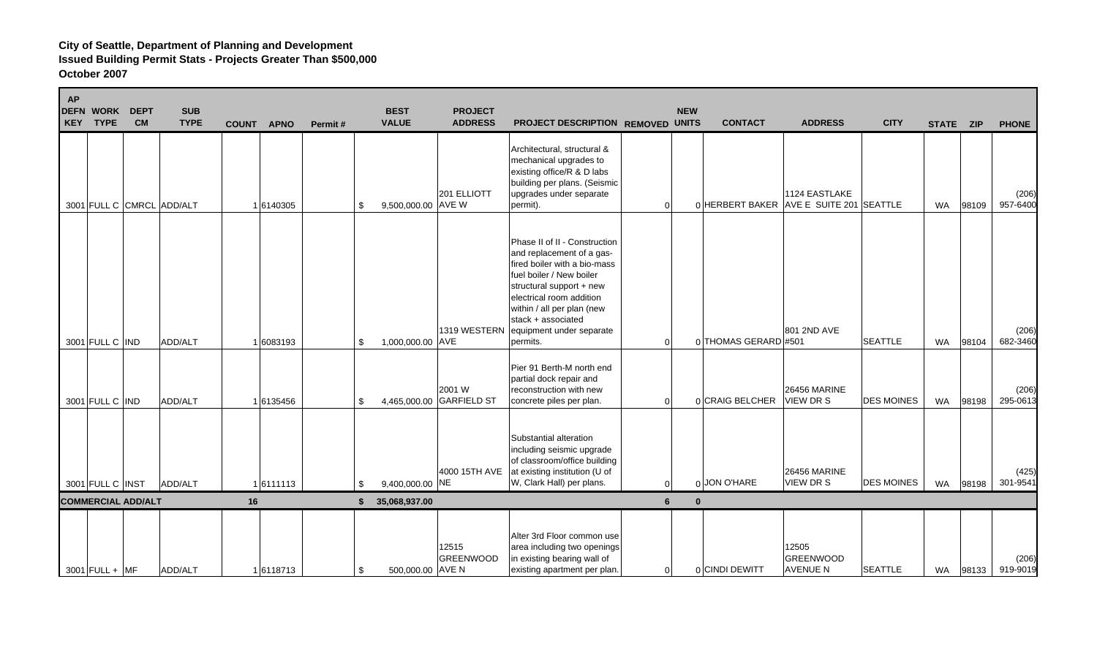| <b>AP</b> | <b>DEFN WORK</b><br>KEY TYPE | <b>DEPT</b><br><b>CM</b>  | <b>SUB</b><br><b>TYPE</b> | <b>COUNT</b> | <b>APNO</b> | Permit# |    | <b>BEST</b><br><b>VALUE</b> | <b>PROJECT</b><br><b>ADDRESS</b>   | PROJECT DESCRIPTION REMOVED UNITS                                                                                                                                                                                                                                          |          | <b>NEW</b>     | <b>CONTACT</b>                          | <b>ADDRESS</b>                         | <b>CITY</b>       | STATE ZIP |       | <b>PHONE</b>      |
|-----------|------------------------------|---------------------------|---------------------------|--------------|-------------|---------|----|-----------------------------|------------------------------------|----------------------------------------------------------------------------------------------------------------------------------------------------------------------------------------------------------------------------------------------------------------------------|----------|----------------|-----------------------------------------|----------------------------------------|-------------------|-----------|-------|-------------------|
|           |                              |                           | 3001 FULL C CMRCL ADD/ALT |              | 1 6140305   |         | \$ | 9,500,000.00 AVE W          | 201 ELLIOTT                        | Architectural, structural &<br>mechanical upgrades to<br>existing office/R & D labs<br>building per plans. (Seismic<br>upgrades under separate<br>permit).                                                                                                                 | $\Omega$ |                | 0 HERBERT BAKER AVE E SUITE 201 SEATTLE | 1124 EASTLAKE                          |                   | <b>WA</b> | 98109 | (206)<br>957-6400 |
|           | 3001 FULL C IND              |                           | ADD/ALT                   |              | 1 6083193   |         | \$ | 1,000,000.00 AVE            | 1319 WESTERN                       | Phase II of II - Construction<br>and replacement of a gas-<br>fired boiler with a bio-mass<br>fuel boiler / New boiler<br>structural support + new<br>electrical room addition<br>within / all per plan (new<br>stack + associated<br>equipment under separate<br>permits. | $\Omega$ |                | 0 THOMAS GERARD #501                    | 801 2ND AVE                            | <b>SEATTLE</b>    | <b>WA</b> | 98104 | (206)<br>682-3460 |
|           | 3001 FULL C IND              |                           | ADD/ALT                   |              | 16135456    |         | \$ |                             | 2001 W<br>4,465,000.00 GARFIELD ST | Pier 91 Berth-M north end<br>partial dock repair and<br>reconstruction with new<br>concrete piles per plan.                                                                                                                                                                | $\Omega$ |                | 0 CRAIG BELCHER                         | <b>26456 MARINE</b><br><b>VIEW DRS</b> | <b>DES MOINES</b> | <b>WA</b> | 98198 | (206)<br>295-0613 |
|           | 3001 FULL C INST             |                           | ADD/ALT                   |              | 16111113    |         | \$ | 9,400,000.00 NE             | 4000 15TH AVE                      | Substantial alteration<br>including seismic upgrade<br>of classroom/office building<br>at existing institution (U of<br>W, Clark Hall) per plans.                                                                                                                          | $\Omega$ |                | 0 JON O'HARE                            | <b>26456 MARINE</b><br>VIEW DR S       | <b>DES MOINES</b> | <b>WA</b> | 98198 | (425)<br>301-9541 |
|           |                              | <b>COMMERCIAL ADD/ALT</b> |                           | 16           |             |         | S. | 35,068,937.00               |                                    |                                                                                                                                                                                                                                                                            | 6        | $\mathbf{0}$   |                                         |                                        |                   |           |       |                   |
|           | $3001$ FULL + MF             |                           | ADD/ALT                   |              | 16118713    |         | \$ | 500,000.00 AVE N            | 12515<br><b>GREENWOOD</b>          | Alter 3rd Floor common use<br>area including two openings<br>in existing bearing wall of<br>existing apartment per plan.                                                                                                                                                   |          | $\overline{0}$ | 0 CINDI DEWITT                          | 12505<br>GREENWOOD<br><b>AVENUE N</b>  | <b>SEATTLE</b>    | WA        | 98133 | (206)<br>919-9019 |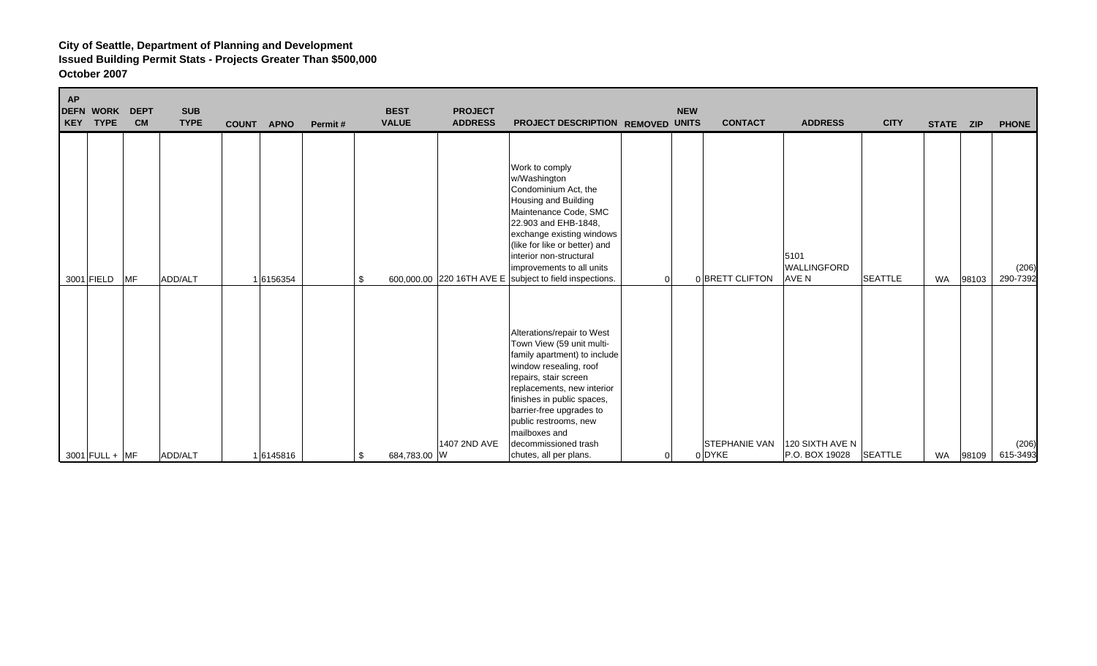| <b>AP</b><br><b>DEFN WORK</b><br>KEY | <b>TYPE</b> | <b>DEPT</b><br><b>CM</b> | <b>SUB</b><br><b>TYPE</b> | <b>COUNT</b> | <b>APNO</b> | Permit# | <b>BEST</b><br><b>VALUE</b> | <b>PROJECT</b><br><b>ADDRESS</b> | PROJECT DESCRIPTION REMOVED UNITS                                                                                                                                                                                                                                                                                              | <b>NEW</b> | <b>CONTACT</b>                 | <b>ADDRESS</b>                      | <b>CITY</b>    | STATE ZIP |       | <b>PHONE</b>      |
|--------------------------------------|-------------|--------------------------|---------------------------|--------------|-------------|---------|-----------------------------|----------------------------------|--------------------------------------------------------------------------------------------------------------------------------------------------------------------------------------------------------------------------------------------------------------------------------------------------------------------------------|------------|--------------------------------|-------------------------------------|----------------|-----------|-------|-------------------|
|                                      | 3001 FIELD  | <b>MF</b>                | ADD/ALT                   |              | 1 6156354   |         | \$                          |                                  | Work to comply<br>w/Washington<br>Condominium Act, the<br>Housing and Building<br>Maintenance Code, SMC<br>22.903 and EHB-1848,<br>exchange existing windows<br>(like for like or better) and<br>interior non-structural<br>improvements to all units<br>600,000.00 220 16TH AVE E subject to field inspections.               | O          | 0 BRETT CLIFTON                | 5101<br><b>WALLINGFORD</b><br>AVE N | <b>SEATTLE</b> | <b>WA</b> | 98103 | (206)<br>290-7392 |
| $3001$ FULL + MF                     |             |                          | ADD/ALT                   |              | 1 6145816   |         | 684,783.00 W                | 1407 2ND AVE                     | Alterations/repair to West<br>Town View (59 unit multi-<br>family apartment) to include<br>window resealing, roof<br>repairs, stair screen<br>replacements, new interior<br>finishes in public spaces,<br>barrier-free upgrades to<br>public restrooms, new<br>mailboxes and<br>decommissioned trash<br>chutes, all per plans. |            | <b>STEPHANIE VAN</b><br>0 DYKE | 120 SIXTH AVE N<br>P.O. BOX 19028   | <b>SEATTLE</b> | WA        | 98109 | (206)<br>615-3493 |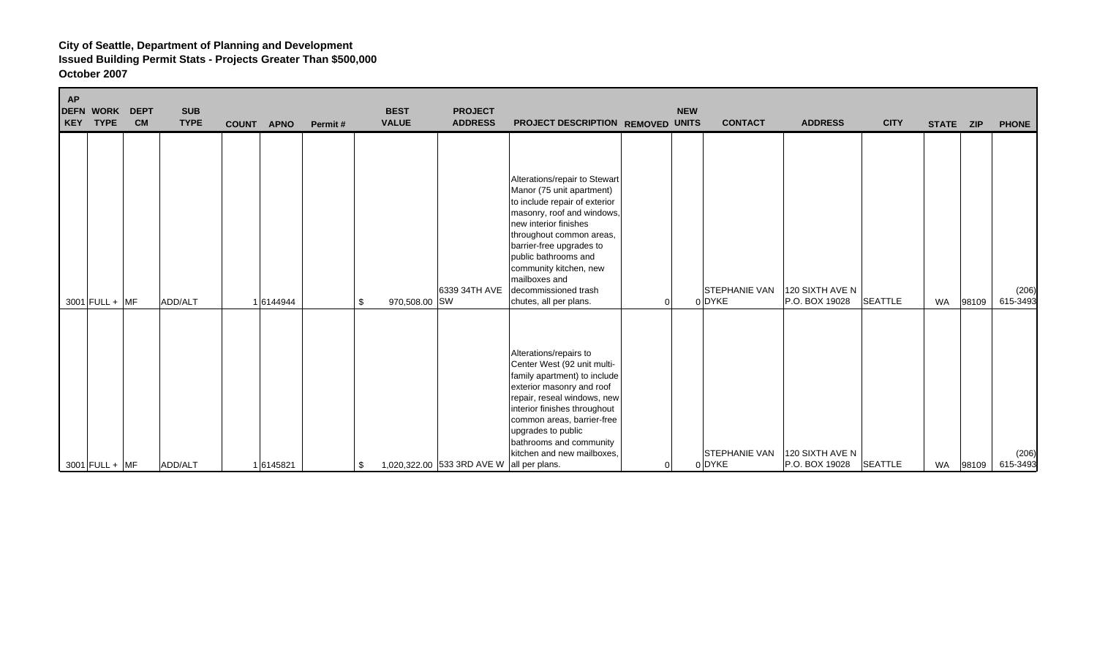| <b>AP</b> | <b>DEFN WORK</b><br>KEY TYPE | <b>DEPT</b><br><b>CM</b> | <b>SUB</b><br><b>TYPE</b> | <b>COUNT</b> | <b>APNO</b> | Permit# |     | <b>BEST</b><br><b>VALUE</b> | <b>PROJECT</b><br><b>ADDRESS</b>          | PROJECT DESCRIPTION REMOVED UNITS                                                                                                                                                                                                                                                                                               |                | <b>NEW</b> | <b>CONTACT</b>                 | <b>ADDRESS</b>                    | <b>CITY</b>    | STATE ZIP |       | <b>PHONE</b>      |
|-----------|------------------------------|--------------------------|---------------------------|--------------|-------------|---------|-----|-----------------------------|-------------------------------------------|---------------------------------------------------------------------------------------------------------------------------------------------------------------------------------------------------------------------------------------------------------------------------------------------------------------------------------|----------------|------------|--------------------------------|-----------------------------------|----------------|-----------|-------|-------------------|
|           | $3001$ FULL + MF             |                          | ADD/ALT                   |              | 1 6144944   |         | \$  | 970,508.00 SW               | 6339 34TH AVE                             | Alterations/repair to Stewart<br>Manor (75 unit apartment)<br>to include repair of exterior<br>masonry, roof and windows,<br>new interior finishes<br>throughout common areas,<br>barrier-free upgrades to<br>public bathrooms and<br>community kitchen, new<br>mailboxes and<br>decommissioned trash<br>chutes, all per plans. | $\Omega$       |            | <b>STEPHANIE VAN</b><br>0 DYKE | 120 SIXTH AVE N<br>P.O. BOX 19028 | <b>SEATTLE</b> | <b>WA</b> | 98109 | (206)<br>615-3493 |
|           | 3001 FULL + MF               |                          | ADD/ALT                   |              | 1 6145821   |         | \$. |                             | 1,020,322.00 533 3RD AVE W all per plans. | Alterations/repairs to<br>Center West (92 unit multi-<br>family apartment) to include<br>exterior masonry and roof<br>repair, reseal windows, new<br>interior finishes throughout<br>common areas, barrier-free<br>upgrades to public<br>bathrooms and community<br>kitchen and new mailboxes.                                  | $\overline{0}$ |            | <b>STEPHANIE VAN</b><br>0 DYKE | 120 SIXTH AVE N<br>P.O. BOX 19028 | SEATTLE        | <b>WA</b> | 98109 | (206)<br>615-3493 |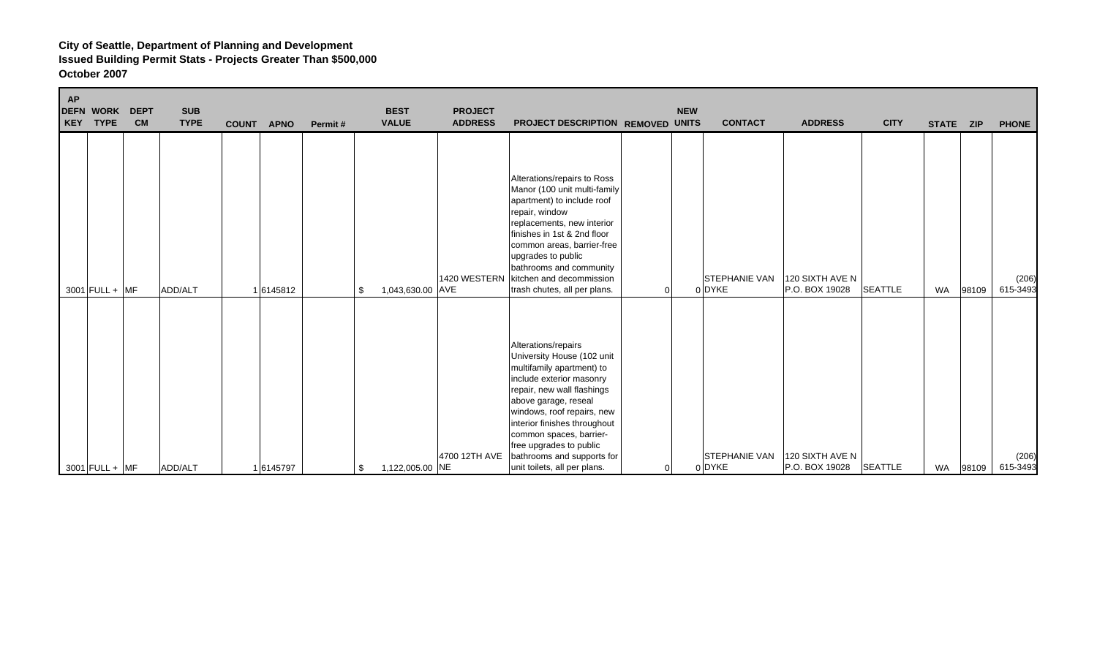| <b>AP</b> | <b>DEFN WORK</b><br>KEY TYPE | <b>DEPT</b><br><b>CM</b> | <b>SUB</b><br><b>TYPE</b> | <b>COUNT</b> | <b>APNO</b> | Permit# | <b>BEST</b><br><b>VALUE</b> | <b>PROJECT</b><br><b>ADDRESS</b> | PROJECT DESCRIPTION REMOVED UNITS                                                                                                                                                                                                                                                                                                                  |          | <b>NEW</b> | <b>CONTACT</b>                 | <b>ADDRESS</b>                    | <b>CITY</b>    | STATE ZIP |       | <b>PHONE</b>      |
|-----------|------------------------------|--------------------------|---------------------------|--------------|-------------|---------|-----------------------------|----------------------------------|----------------------------------------------------------------------------------------------------------------------------------------------------------------------------------------------------------------------------------------------------------------------------------------------------------------------------------------------------|----------|------------|--------------------------------|-----------------------------------|----------------|-----------|-------|-------------------|
|           | $3001$ FULL + MF             |                          | ADD/ALT                   |              | 1 6145812   | \$      | 1,043,630.00 AVE            | 1420 WESTERN                     | Alterations/repairs to Ross<br>Manor (100 unit multi-family<br>apartment) to include roof<br>repair, window<br>replacements, new interior<br>finishes in 1st & 2nd floor<br>common areas, barrier-free<br>upgrades to public<br>bathrooms and community<br>kitchen and decommission<br>trash chutes, all per plans.                                | $\Omega$ |            | <b>STEPHANIE VAN</b><br>0 DYKE | 120 SIXTH AVE N<br>P.O. BOX 19028 | <b>SEATTLE</b> | <b>WA</b> | 98109 | (206)<br>615-3493 |
|           | $3001$ FULL + MF             |                          | ADD/ALT                   |              | 1 6145797   | \$      | 1,122,005.00 NE             | 4700 12TH AVE                    | Alterations/repairs<br>University House (102 unit<br>multifamily apartment) to<br>include exterior masonry<br>repair, new wall flashings<br>above garage, reseal<br>windows, roof repairs, new<br>interior finishes throughout<br>common spaces, barrier-<br>free upgrades to public<br>bathrooms and supports for<br>unit toilets, all per plans. | 0        |            | <b>STEPHANIE VAN</b><br>0 DYKE | 120 SIXTH AVE N<br>P.O. BOX 19028 | <b>SEATTLE</b> | <b>WA</b> | 98109 | (206)<br>615-3493 |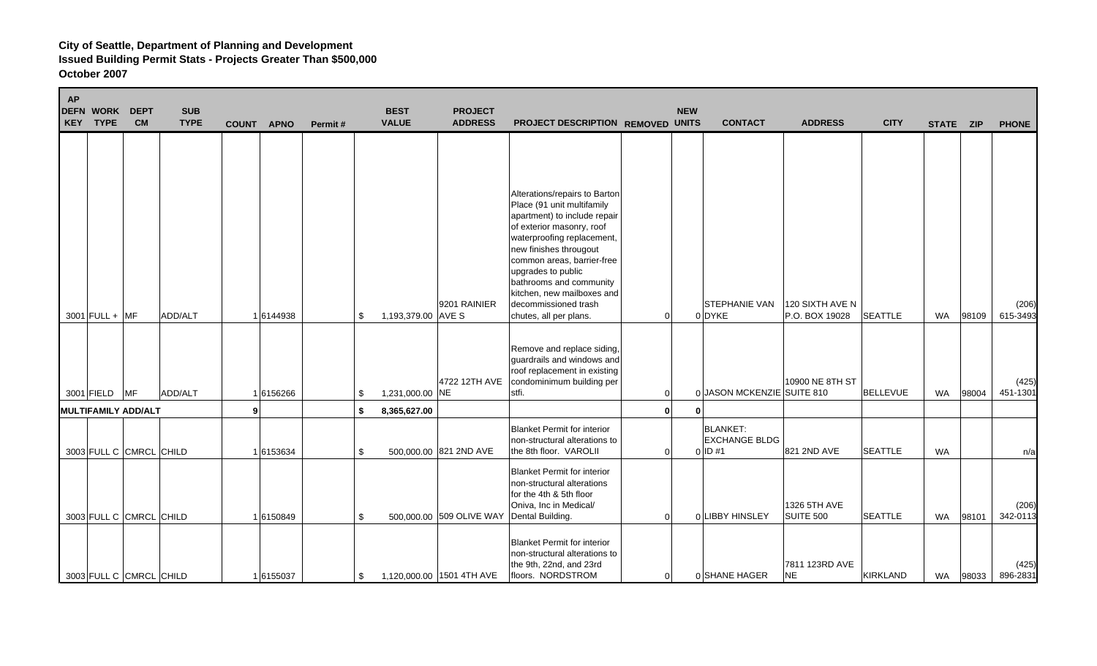| <b>AP</b> | <b>DEFN WORK</b><br>KEY TYPE | <b>DEPT</b><br><b>CM</b> | <b>SUB</b><br><b>TYPE</b> | <b>COUNT</b> | <b>APNO</b> | Permit# | <b>BEST</b><br><b>VALUE</b> | <b>PROJECT</b><br><b>ADDRESS</b> | PROJECT DESCRIPTION REMOVED UNITS                                                                                                                                                                                                                                                                                                               |                | <b>NEW</b>   | <b>CONTACT</b>                                       | <b>ADDRESS</b>                    | <b>CITY</b>     | STATE ZIP |       | <b>PHONE</b>      |
|-----------|------------------------------|--------------------------|---------------------------|--------------|-------------|---------|-----------------------------|----------------------------------|-------------------------------------------------------------------------------------------------------------------------------------------------------------------------------------------------------------------------------------------------------------------------------------------------------------------------------------------------|----------------|--------------|------------------------------------------------------|-----------------------------------|-----------------|-----------|-------|-------------------|
|           | $3001$ FULL + MF             |                          | ADD/ALT                   |              | 16144938    |         | \$<br>1,193,379.00 AVE S    | 9201 RAINIER                     | Alterations/repairs to Barton<br>Place (91 unit multifamily<br>apartment) to include repair<br>of exterior masonry, roof<br>waterproofing replacement,<br>new finishes througout<br>common areas, barrier-free<br>upgrades to public<br>bathrooms and community<br>kitchen, new mailboxes and<br>decommissioned trash<br>chutes, all per plans. | $\overline{0}$ |              | <b>STEPHANIE VAN</b><br>0 DYKE                       | 120 SIXTH AVE N<br>P.O. BOX 19028 | <b>SEATTLE</b>  | <b>WA</b> | 98109 | (206)<br>615-3493 |
|           | 3001 FIELD MF                |                          | ADD/ALT                   |              | 1 6156266   |         | \$<br>1,231,000.00 NE       | 4722 12TH AVE                    | Remove and replace siding,<br>guardrails and windows and<br>roof replacement in existing<br>condominimum building per<br>stfi.                                                                                                                                                                                                                  | $\overline{0}$ |              | 0 JASON MCKENZIE SUITE 810                           | 10900 NE 8TH ST                   | <b>BELLEVUE</b> | <b>WA</b> | 98004 | (425)<br>451-1301 |
|           | <b>MULTIFAMILY ADD/ALT</b>   |                          |                           | 9            |             |         | \$<br>8,365,627.00          |                                  |                                                                                                                                                                                                                                                                                                                                                 | $\mathbf{0}$   | $\mathbf{0}$ |                                                      |                                   |                 |           |       |                   |
|           | 3003 FULL C CMRCL CHILD      |                          |                           |              | 16153634    |         | \$                          | 500,000.00 821 2ND AVE           | <b>Blanket Permit for interior</b><br>non-structural alterations to<br>the 8th floor. VAROLII                                                                                                                                                                                                                                                   | $\overline{0}$ |              | <b>BLANKET:</b><br><b>EXCHANGE BLDG</b><br>$0$ ID #1 | 821 2ND AVE                       | <b>SEATTLE</b>  | <b>WA</b> |       | n/a               |
|           | 3003 FULL C CMRCL CHILD      |                          |                           |              | 1 6150849   |         | \$                          | 500,000.00 509 OLIVE WAY         | <b>Blanket Permit for interior</b><br>non-structural alterations<br>for the 4th & 5th floor<br>Oniva, Inc in Medical/<br>Dental Building.                                                                                                                                                                                                       | $\overline{0}$ |              | 0 LIBBY HINSLEY                                      | 1326 5TH AVE<br><b>SUITE 500</b>  | <b>SEATTLE</b>  | <b>WA</b> | 98101 | (206)<br>342-0113 |
|           | 3003 FULL C CMRCL CHILD      |                          |                           |              | 16155037    |         | \$                          | 1,120,000.00 1501 4TH AVE        | <b>Blanket Permit for interior</b><br>non-structural alterations to<br>the 9th, 22nd, and 23rd<br>floors. NORDSTROM                                                                                                                                                                                                                             | $\overline{0}$ |              | 0 SHANE HAGER                                        | 7811 123RD AVE<br><b>NE</b>       | <b>KIRKLAND</b> | <b>WA</b> | 98033 | (425)<br>896-2831 |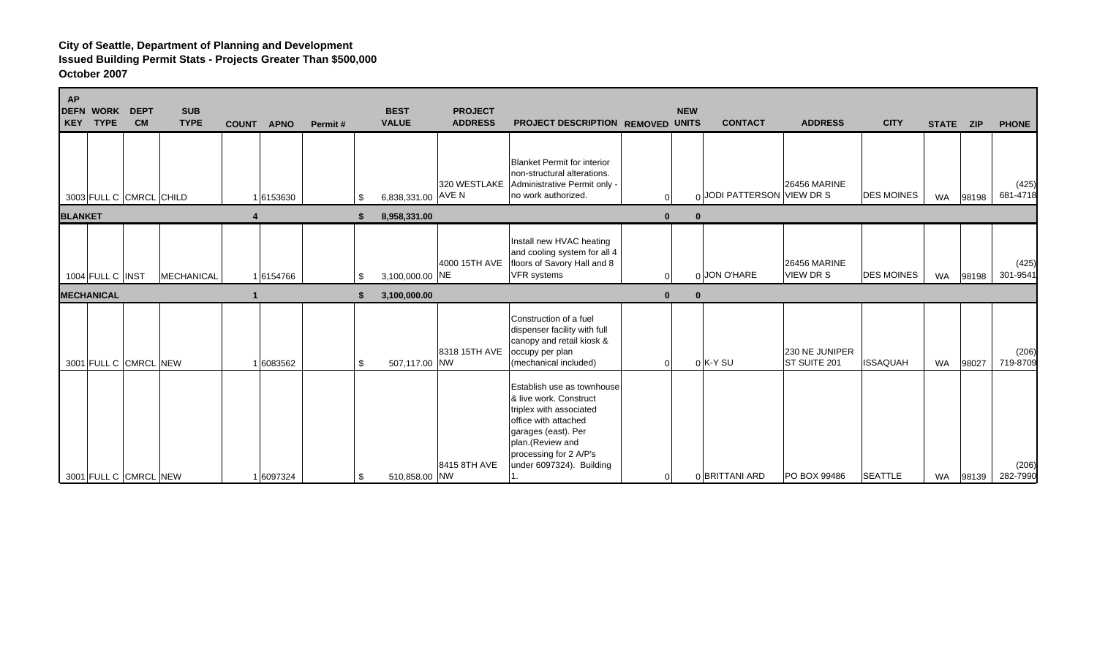| <b>AP</b>      | <b>DEFN WORK</b><br>KEY TYPE          | <b>DEPT</b><br><b>CM</b> | <b>SUB</b><br><b>TYPE</b> | <b>COUNT</b> | <b>APNO</b> | Permit# | <b>BEST</b><br><b>VALUE</b>           | <b>PROJECT</b><br><b>ADDRESS</b> | PROJECT DESCRIPTION REMOVED UNITS                                                                                                                                                                        | <b>NEW</b>               | <b>CONTACT</b>             | <b>ADDRESS</b>                          | <b>CITY</b>       | STATE ZIP |       | <b>PHONE</b>      |
|----------------|---------------------------------------|--------------------------|---------------------------|--------------|-------------|---------|---------------------------------------|----------------------------------|----------------------------------------------------------------------------------------------------------------------------------------------------------------------------------------------------------|--------------------------|----------------------------|-----------------------------------------|-------------------|-----------|-------|-------------------|
|                | 3003 FULL C CMRCL CHILD               |                          |                           |              | 1 6153630   |         | \$<br>6,838,331.00 AVE N              | 320 WESTLAKE                     | Blanket Permit for interior<br>non-structural alterations.<br>Administrative Permit only -<br>no work authorized.                                                                                        | $\Omega$                 | 0 JODI PATTERSON VIEW DR S | <b>26456 MARINE</b>                     | <b>DES MOINES</b> | WA        | 98198 | (425)<br>681-4718 |
| <b>BLANKET</b> |                                       |                          |                           |              |             |         | 8,958,331.00                          |                                  |                                                                                                                                                                                                          | $\mathbf{0}$<br>$\bf{0}$ |                            |                                         |                   |           |       |                   |
|                | 1004 FULL C INST<br><b>MECHANICAL</b> |                          | <b>MECHANICAL</b>         |              | 1 6154766   |         | \$<br>3,100,000.00 NE<br>3,100,000.00 | 4000 15TH AVE                    | Install new HVAC heating<br>and cooling system for all 4<br>floors of Savory Hall and 8<br><b>VFR</b> systems                                                                                            | $\Omega$                 | 0 JON O'HARE               | <b>26456 MARINE</b><br><b>VIEW DR S</b> | <b>DES MOINES</b> | WA        | 98198 | (425)<br>301-9541 |
|                | 3001 FULL C CMRCL NEW                 |                          |                           |              | 6083562     |         | \$<br>507,117.00 NW                   | 8318 15TH AVE                    | Construction of a fuel<br>dispenser facility with full<br>canopy and retail kiosk &<br>occupy per plan<br>(mechanical included)                                                                          |                          | $0$ K-Y SU                 | 230 NE JUNIPER<br>ST SUITE 201          | <b>ISSAQUAH</b>   | <b>WA</b> | 98027 | (206)<br>719-8709 |
|                | 3001 FULL C CMRCL NEW                 |                          |                           |              | 1 6097324   |         | \$<br>510,858.00 NW                   | 8415 8TH AVE                     | Establish use as townhouse<br>& live work. Construct<br>triplex with associated<br>office with attached<br>garages (east). Per<br>plan.(Review and<br>processing for 2 A/P's<br>under 6097324). Building |                          | 0 BRITTANI ARD             | PO BOX 99486                            | <b>SEATTLE</b>    | WA        | 98139 | (206)<br>282-7990 |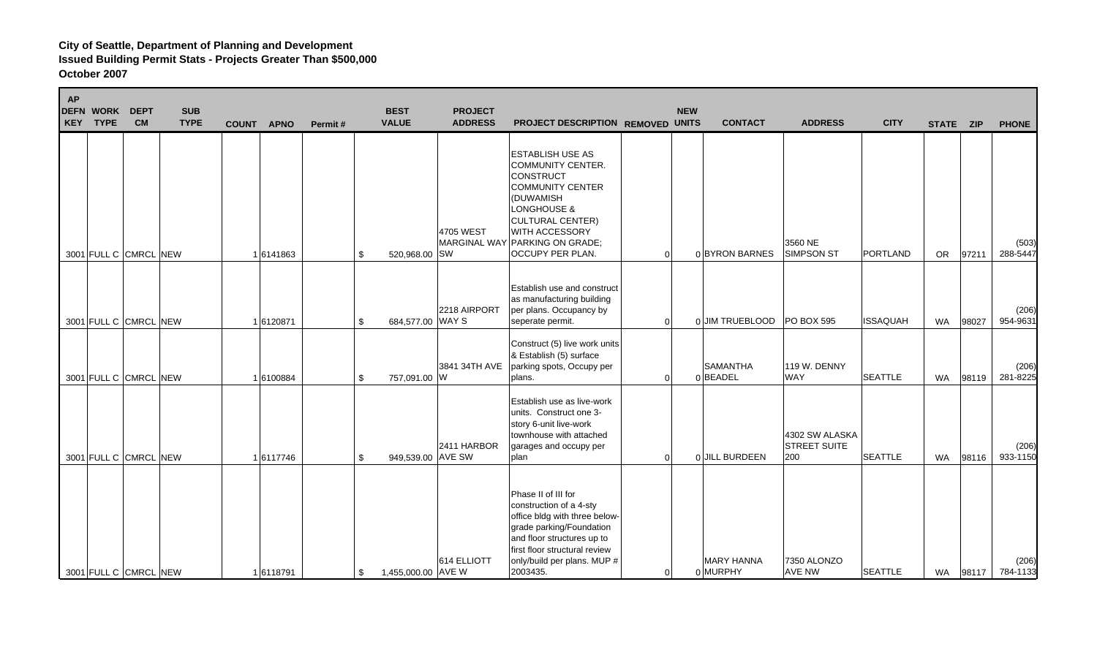| AP | <b>DEFN WORK</b><br>KEY TYPE | <b>DEPT</b><br><b>CM</b> | <b>SUB</b><br><b>TYPE</b> | <b>COUNT</b> | <b>APNO</b> | Permit# | <b>BEST</b><br><b>VALUE</b> | <b>PROJECT</b><br><b>ADDRESS</b> | PROJECT DESCRIPTION REMOVED UNITS                                                                                                                                                                                                        |                | <b>NEW</b> | <b>CONTACT</b>                | <b>ADDRESS</b>                               | <b>CITY</b>     | STATE ZIP |          | <b>PHONE</b>      |
|----|------------------------------|--------------------------|---------------------------|--------------|-------------|---------|-----------------------------|----------------------------------|------------------------------------------------------------------------------------------------------------------------------------------------------------------------------------------------------------------------------------------|----------------|------------|-------------------------------|----------------------------------------------|-----------------|-----------|----------|-------------------|
|    |                              | 3001 FULL C CMRCL NEW    |                           |              | 1 6141863   | \$      | 520,968.00 SW               | 4705 WEST                        | <b>ESTABLISH USE AS</b><br><b>COMMUNITY CENTER.</b><br><b>CONSTRUCT</b><br><b>COMMUNITY CENTER</b><br>(DUWAMISH<br>LONGHOUSE &<br>CULTURAL CENTER)<br><b>WITH ACCESSORY</b><br>MARGINAL WAY PARKING ON GRADE;<br><b>OCCUPY PER PLAN.</b> | 0              |            | 0 BYRON BARNES                | 3560 NE<br><b>SIMPSON ST</b>                 | PORTLAND        | OR.       | 97211    | (503)<br>288-5447 |
|    |                              | 3001 FULL C CMRCL NEW    |                           |              | 1 6120871   | \$      | 684,577.00 WAY S            | 2218 AIRPORT                     | <b>Establish use and construct</b><br>as manufacturing building<br>per plans. Occupancy by<br>seperate permit.<br>Construct (5) live work units                                                                                          | $\Omega$       |            | 0 JIM TRUEBLOOD PO BOX 595    |                                              | <b>ISSAQUAH</b> | WA        | 98027    | (206)<br>954-9631 |
|    |                              | 3001 FULL C CMRCL NEW    |                           |              | 16100884    | \$      | 757,091.00 W                | 3841 34TH AVE                    | & Establish (5) surface<br>parking spots, Occupy per<br>plans.                                                                                                                                                                           | $\overline{0}$ |            | <b>SAMANTHA</b><br>0BEADEL    | 119 W. DENNY<br><b>WAY</b>                   | <b>SEATTLE</b>  | WA        | 98119    | (206)<br>281-8225 |
|    |                              | 3001 FULL C CMRCL NEW    |                           |              | 16117746    | \$      | 949,539.00 AVE SW           | 2411 HARBOR                      | Establish use as live-work<br>units. Construct one 3-<br>story 6-unit live-work<br>townhouse with attached<br>garages and occupy per<br>plan                                                                                             | $\Omega$       |            | 0 JILL BURDEEN                | 4302 SW ALASKA<br><b>STREET SUITE</b><br>200 | <b>SEATTLE</b>  | <b>WA</b> | 98116    | (206)<br>933-1150 |
|    |                              | 3001 FULL C CMRCL NEW    |                           |              | 16118791    | \$      | 1,455,000.00 AVE W          | 614 ELLIOTT                      | Phase II of III for<br>construction of a 4-sty<br>office bldg with three below-<br>grade parking/Foundation<br>and floor structures up to<br>first floor structural review<br>only/build per plans. MUP #<br>2003435.                    | 0              |            | <b>MARY HANNA</b><br>0 MURPHY | 7350 ALONZO<br>AVE NW                        | <b>SEATTLE</b>  |           | WA 98117 | (206)<br>784-1133 |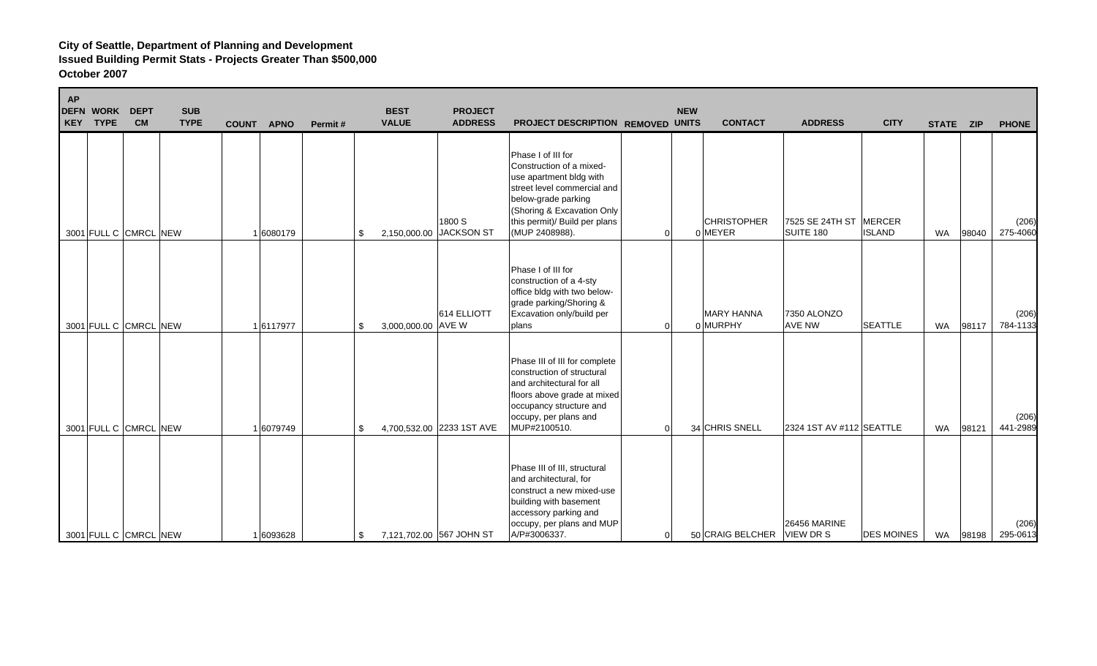| <b>AP</b><br><b>DEFN WORK</b><br><b>DEPT</b><br><b>CM</b><br>KEY TYPE | <b>SUB</b><br><b>TYPE</b> | COUNT APNO | Permit# | <b>BEST</b><br><b>VALUE</b> | <b>PROJECT</b><br><b>ADDRESS</b> | PROJECT DESCRIPTION REMOVED UNITS                                                                                                                                                                                |                | <b>NEW</b>     | <b>CONTACT</b>     | <b>ADDRESS</b>                                    | <b>CITY</b>             | STATE ZIP |       | <b>PHONE</b>      |
|-----------------------------------------------------------------------|---------------------------|------------|---------|-----------------------------|----------------------------------|------------------------------------------------------------------------------------------------------------------------------------------------------------------------------------------------------------------|----------------|----------------|--------------------|---------------------------------------------------|-------------------------|-----------|-------|-------------------|
| 3001 FULL C CMRCL NEW                                                 |                           | 1 6080179  |         | 2,150,000.00<br>\$          | 1800 S<br><b>JACKSON ST</b>      | Phase I of III for<br>Construction of a mixed-<br>use apartment bldg with<br>street level commercial and<br>below-grade parking<br>(Shoring & Excavation Only<br>this permit)/ Build per plans<br>(MUP 2408988). | 0              | 0 MEYER        | <b>CHRISTOPHER</b> | 7525 SE 24TH ST<br>SUITE 180                      | MERCER<br><b>ISLAND</b> | WA        | 98040 | (206)<br>275-4060 |
| 3001 FULL C CMRCL NEW                                                 |                           | 1 6117977  |         | 3,000,000.00 AVE W<br>S.    | 614 ELLIOTT                      | Phase I of III for<br>construction of a 4-sty<br>office bldg with two below-<br>grade parking/Shoring &<br>Excavation only/build per<br>plans                                                                    | 0              | 0 MURPHY       | <b>MARY HANNA</b>  | 7350 ALONZO<br><b>AVE NW</b>                      | <b>SEATTLE</b>          | <b>WA</b> | 98117 | (206)<br>784-1133 |
| 3001 FULL C CMRCL NEW                                                 |                           | 1 6079749  |         | \$                          | 4,700,532.00 2233 1ST AVE        | Phase III of III for complete<br>construction of structural<br>and architectural for all<br>floors above grade at mixed<br>occupancy structure and<br>occupy, per plans and<br>MUP#2100510.                      | $\Omega$       | 34 CHRIS SNELL |                    | 2324 1ST AV #112 SEATTLE                          |                         | WA        | 98121 | (206)<br>441-2989 |
| 3001 FULL C CMRCL NEW                                                 |                           | 1 6093628  |         | \$                          | 7,121,702.00 567 JOHN ST         | Phase III of III, structural<br>and architectural, for<br>construct a new mixed-use<br>building with basement<br>accessory parking and<br>occupy, per plans and MUP<br>A/P#3006337.                              | $\overline{0}$ |                |                    | <b>26456 MARINE</b><br>50 CRAIG BELCHER VIEW DR S | <b>DES MOINES</b>       | WA        | 98198 | (206)<br>295-0613 |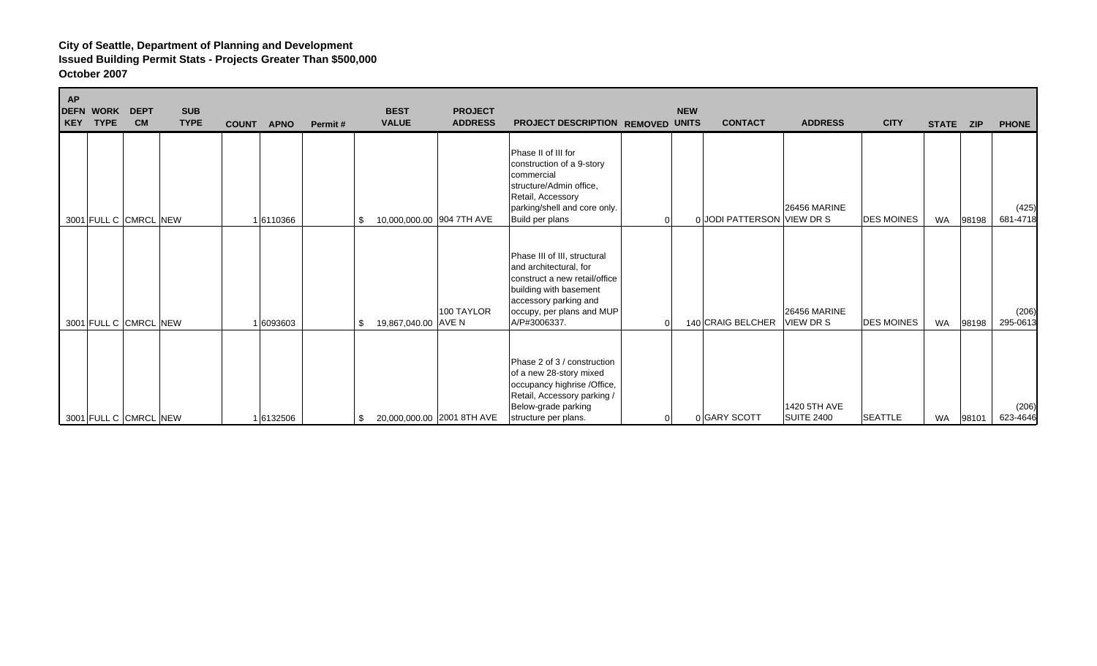| <b>AP</b><br>KEY | <b>DEFN WORK</b><br><b>TYPE</b> | <b>DEPT</b><br><b>CM</b> | <b>SUB</b><br><b>TYPE</b> | <b>COUNT</b> | <b>APNO</b> | Permit# | <b>BEST</b><br><b>VALUE</b>     | <b>PROJECT</b><br><b>ADDRESS</b> | PROJECT DESCRIPTION REMOVED UNITS                                                                                                                                                       | <b>NEW</b>   | <b>CONTACT</b>             | <b>ADDRESS</b>                          | <b>CITY</b>       | STATE ZIP |       | <b>PHONE</b>      |
|------------------|---------------------------------|--------------------------|---------------------------|--------------|-------------|---------|---------------------------------|----------------------------------|-----------------------------------------------------------------------------------------------------------------------------------------------------------------------------------------|--------------|----------------------------|-----------------------------------------|-------------------|-----------|-------|-------------------|
|                  |                                 | 3001 FULL C CMRCL NEW    |                           |              | 1 6110366   |         | 10,000,000.00 904 7TH AVE<br>\$ |                                  | Phase II of III for<br>construction of a 9-story<br>commercial<br>structure/Admin office,<br>Retail, Accessory<br>parking/shell and core only.<br>Build per plans                       |              | 0 JODI PATTERSON VIEW DR S | <b>26456 MARINE</b>                     | <b>DES MOINES</b> | <b>WA</b> | 98198 | (425)<br>681-4718 |
|                  |                                 | 3001 FULL C CMRCL NEW    |                           |              | 1 6093603   |         | 19,867,040.00 AVE N<br>\$       | 100 TAYLOR                       | Phase III of III, structural<br>and architectural, for<br>construct a new retail/office<br>building with basement<br>accessory parking and<br>occupy, per plans and MUP<br>A/P#3006337. | <sup>0</sup> | 140 CRAIG BELCHER          | <b>26456 MARINE</b><br><b>VIEW DR S</b> | <b>DES MOINES</b> | <b>WA</b> | 98198 | (206)<br>295-0613 |
|                  |                                 | 3001 FULL C CMRCL NEW    |                           |              | 1 6132506   |         | \$                              | 20,000,000.00 2001 8TH AVE       | Phase 2 of 3 / construction<br>of a new 28-story mixed<br>occupancy highrise /Office,<br>Retail, Accessory parking /<br>Below-grade parking<br>structure per plans.                     |              | 0 GARY SCOTT               | 1420 5TH AVE<br><b>SUITE 2400</b>       | <b>SEATTLE</b>    | <b>WA</b> | 98101 | (206)<br>623-4646 |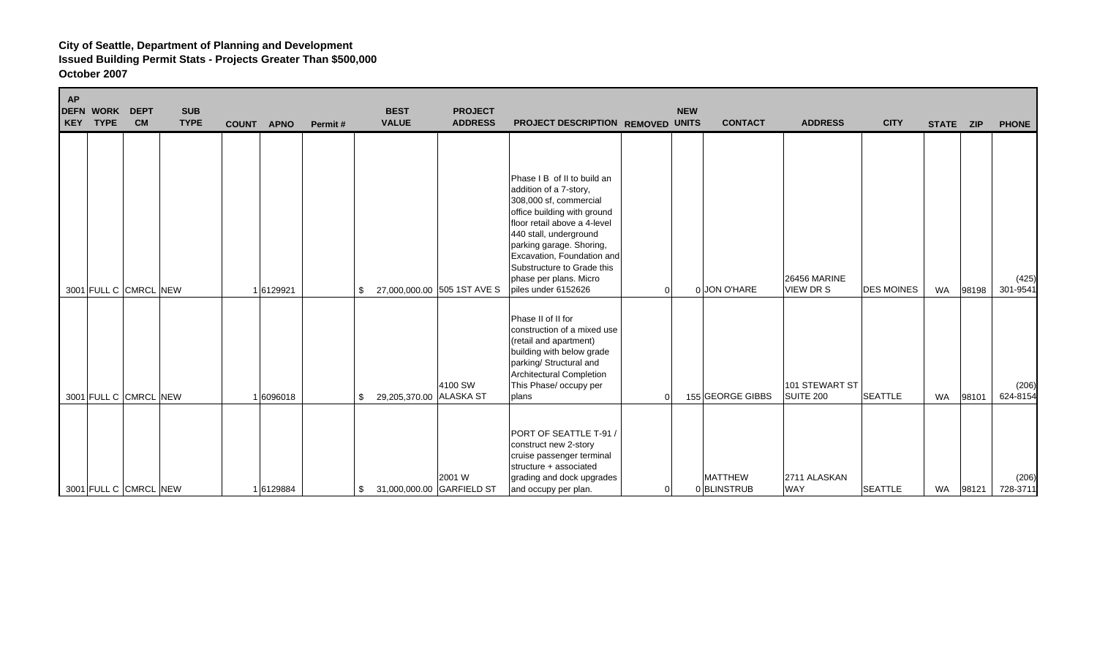| <b>AP</b> | <b>DEFN WORK</b><br><b>KEY TYPE</b> | <b>DEPT</b><br><b>CM</b> | <b>SUB</b><br><b>TYPE</b> | <b>COUNT</b> | <b>APNO</b> | Permit# | <b>BEST</b><br><b>VALUE</b> | <b>PROJECT</b><br><b>ADDRESS</b> | PROJECT DESCRIPTION REMOVED UNITS                                                                                                                                                                                                                                                                                 |          | <b>NEW</b><br><b>CONTACT</b> | <b>ADDRESS</b>                   | <b>CITY</b>       | STATE ZIP |       | <b>PHONE</b>      |
|-----------|-------------------------------------|--------------------------|---------------------------|--------------|-------------|---------|-----------------------------|----------------------------------|-------------------------------------------------------------------------------------------------------------------------------------------------------------------------------------------------------------------------------------------------------------------------------------------------------------------|----------|------------------------------|----------------------------------|-------------------|-----------|-------|-------------------|
|           |                                     | 3001 FULL C CMRCL NEW    |                           |              | 6129921     | \$.     |                             | 27,000,000.00 505 1ST AVE S      | Phase I B of II to build an<br>addition of a 7-story,<br>308,000 sf, commercial<br>office building with ground<br>floor retail above a 4-level<br>440 stall, underground<br>parking garage. Shoring,<br>Excavation, Foundation and<br>Substructure to Grade this<br>phase per plans. Micro<br>piles under 6152626 | $\Omega$ | 0 JON O'HARE                 | <b>26456 MARINE</b><br>VIEW DR S | <b>DES MOINES</b> | <b>WA</b> | 98198 | (425)<br>301-9541 |
|           |                                     | 3001 FULL C CMRCL NEW    |                           |              | 6096018     | \$      | 29,205,370.00 ALASKA ST     | 4100 SW                          | Phase II of II for<br>construction of a mixed use<br>(retail and apartment)<br>building with below grade<br>parking/ Structural and<br><b>Architectural Completion</b><br>This Phase/ occupy per<br>plans                                                                                                         | $\Omega$ | 155 GEORGE GIBBS             | 101 STEWART ST<br>SUITE 200      | <b>SEATTLE</b>    | <b>WA</b> | 98101 | (206)<br>624-8154 |
|           |                                     | 3001 FULL C CMRCL NEW    |                           |              | 1 6129884   | \$      | 31,000,000.00 GARFIELD ST   | 2001 W                           | PORT OF SEATTLE T-91 /<br>construct new 2-story<br>cruise passenger terminal<br>structure + associated<br>grading and dock upgrades<br>and occupy per plan.                                                                                                                                                       | 0        | <b>MATTHEW</b><br>0BLINSTRUB | 2711 ALASKAN<br><b>WAY</b>       | <b>SEATTLE</b>    | WA        | 98121 | (206)<br>728-3711 |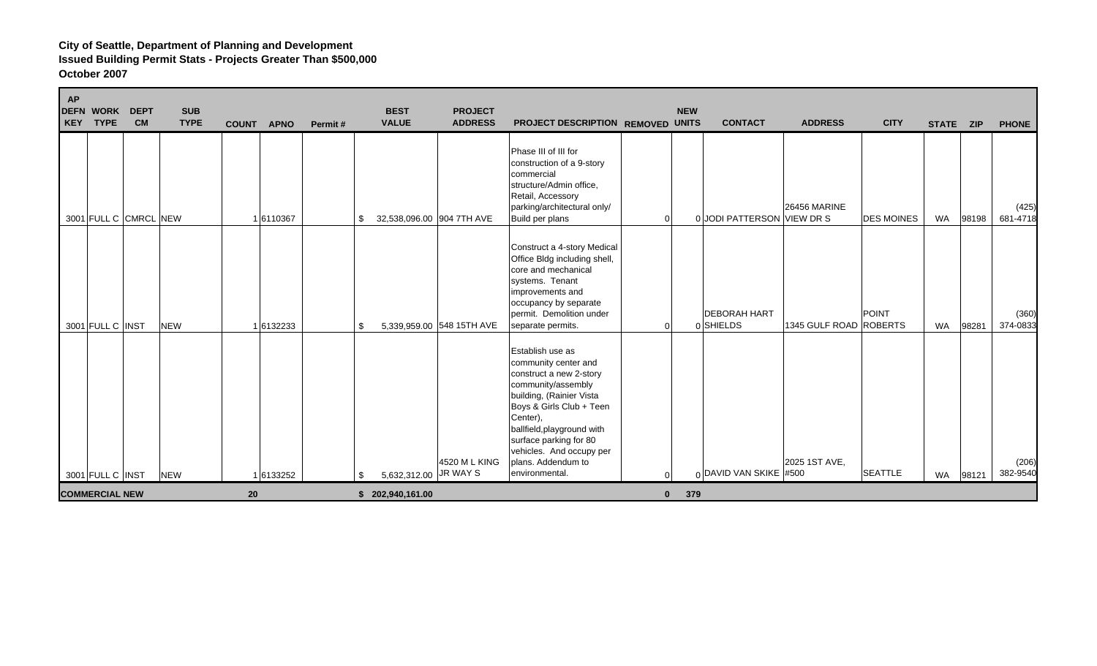| <b>AP</b><br><b>DEFN WORK</b><br><b>DEPT</b><br><b>CM</b><br>KEY TYPE | <b>SUB</b><br><b>TYPE</b> | <b>APNO</b><br><b>COUNT</b> | Permit# | <b>BEST</b><br><b>VALUE</b>     | <b>PROJECT</b><br><b>ADDRESS</b> | PROJECT DESCRIPTION REMOVED UNITS                                                                                                                                                                                                                                                         |              | <b>NEW</b><br><b>CONTACT</b>     | <b>ADDRESS</b>         | <b>CITY</b>       | STATE ZIP |       | <b>PHONE</b>      |
|-----------------------------------------------------------------------|---------------------------|-----------------------------|---------|---------------------------------|----------------------------------|-------------------------------------------------------------------------------------------------------------------------------------------------------------------------------------------------------------------------------------------------------------------------------------------|--------------|----------------------------------|------------------------|-------------------|-----------|-------|-------------------|
| 3001 FULL C CMRCL NEW                                                 |                           | 1 6110367                   |         | 32,538,096.00 904 7TH AVE<br>S. |                                  | Phase III of III for<br>construction of a 9-story<br>commercial<br>structure/Admin office,<br>Retail, Accessory<br>parking/architectural only/<br>Build per plans                                                                                                                         | 0            | 0 JODI PATTERSON VIEW DR S       | <b>26456 MARINE</b>    | <b>DES MOINES</b> | <b>WA</b> | 98198 | (425)<br>681-4718 |
| 3001 FULL C INST                                                      | <b>NEW</b>                | 1 6132233                   |         | \$.                             | 5,339,959.00 548 15TH AVE        | Construct a 4-story Medical<br>Office Bldg including shell,<br>core and mechanical<br>systems. Tenant<br>improvements and<br>occupancy by separate<br>permit. Demolition under<br>separate permits.                                                                                       | 0            | <b>DEBORAH HART</b><br>0 SHIELDS | 1345 GULF ROAD ROBERTS | POINT             | <b>WA</b> | 98281 | (360)<br>374-0833 |
| 3001 FULL C INST                                                      | <b>NEW</b>                | 1 6133252                   |         | 5,632,312.00 JR WAY S           | 4520 M L KING                    | Establish use as<br>community center and<br>construct a new 2-story<br>community/assembly<br>building, (Rainier Vista<br>Boys & Girls Club + Teen<br>Center).<br>ballfield, playground with<br>surface parking for 80<br>vehicles. And occupy per<br>plans. Addendum to<br>environmental. |              | 0 DAVID VAN SKIKE #500           | 2025 1ST AVE,          | <b>SEATTLE</b>    | WA        | 98121 | (206)<br>382-9540 |
| <b>COMMERCIAL NEW</b>                                                 |                           | 20                          |         | \$202,940,161.00                |                                  |                                                                                                                                                                                                                                                                                           | $\mathbf{0}$ | 379                              |                        |                   |           |       |                   |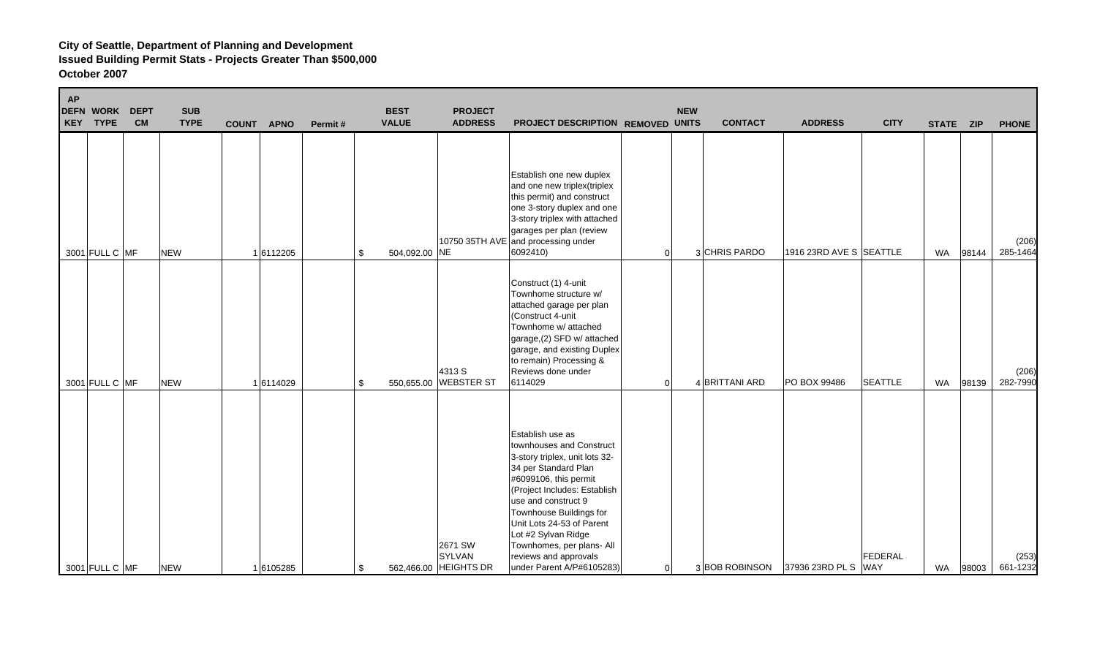| <b>AP</b> | <b>DEFN WORK</b><br>KEY TYPE | <b>DEPT</b><br><b>CM</b> | <b>SUB</b><br><b>TYPE</b> | <b>COUNT</b> | <b>APNO</b> | Permit# | <b>BEST</b><br><b>VALUE</b> | <b>PROJECT</b><br><b>ADDRESS</b>           | PROJECT DESCRIPTION REMOVED UNITS                                                                                                                                                                                                                                                                                                                        |          | <b>NEW</b><br><b>CONTACT</b> | <b>ADDRESS</b>                    | <b>CITY</b>    | STATE ZIP |       | <b>PHONE</b>      |
|-----------|------------------------------|--------------------------|---------------------------|--------------|-------------|---------|-----------------------------|--------------------------------------------|----------------------------------------------------------------------------------------------------------------------------------------------------------------------------------------------------------------------------------------------------------------------------------------------------------------------------------------------------------|----------|------------------------------|-----------------------------------|----------------|-----------|-------|-------------------|
|           | 3001 FULL C MF               |                          | <b>NEW</b>                |              | 1 6112205   | \$      | 504,092.00 NE               | 10750 35TH AVE                             | Establish one new duplex<br>and one new triplex (triplex<br>this permit) and construct<br>one 3-story duplex and one<br>3-story triplex with attached<br>garages per plan (review<br>and processing under<br>6092410)                                                                                                                                    | $\Omega$ | 3 CHRIS PARDO                | 1916 23RD AVE S SEATTLE           |                | <b>WA</b> | 98144 | (206)<br>285-1464 |
|           | 3001 FULL C MF               |                          | <b>NEW</b>                |              | 16114029    | \$      |                             | 4313 S<br>550,655.00 WEBSTER ST            | Construct (1) 4-unit<br>Townhome structure w/<br>attached garage per plan<br>(Construct 4-unit<br>Townhome w/ attached<br>garage,(2) SFD w/ attached<br>garage, and existing Duplex<br>to remain) Processing &<br>Reviews done under<br>6114029                                                                                                          | $\Omega$ | 4 BRITTANI ARD               | PO BOX 99486                      | <b>SEATTLE</b> | WA        | 98139 | (206)<br>282-7990 |
|           | 3001 FULL C MF               |                          | <b>NEW</b>                |              | 16105285    | \$      |                             | 2671 SW<br>SYLVAN<br>562,466.00 HEIGHTS DR | Establish use as<br>townhouses and Construct<br>3-story triplex, unit lots 32-<br>34 per Standard Plan<br>#6099106, this permit<br>(Project Includes: Establish<br>use and construct 9<br>Townhouse Buildings for<br>Unit Lots 24-53 of Parent<br>Lot #2 Sylvan Ridge<br>Townhomes, per plans- All<br>reviews and approvals<br>under Parent A/P#6105283) | 0        |                              | 3BOB ROBINSON 37936 23RD PL S WAY | FEDERAL        | WA        | 98003 | (253)<br>661-1232 |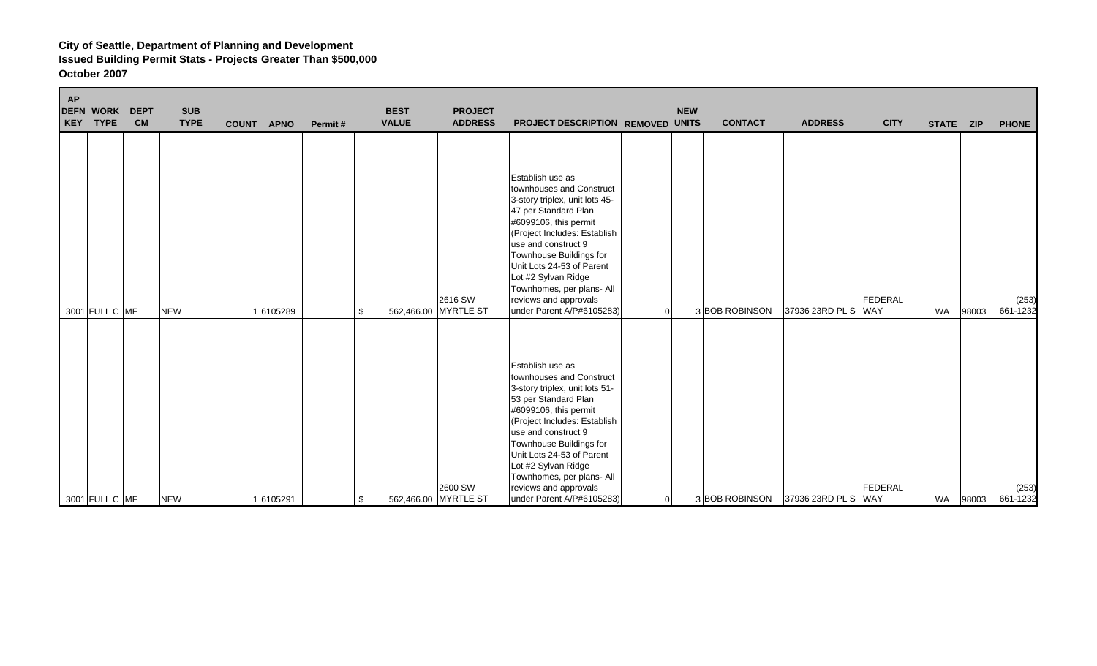| <b>AP</b> | <b>DEFN WORK</b><br>KEY TYPE | <b>DEPT</b><br><b>CM</b> | <b>SUB</b><br><b>TYPE</b> | COUNT APNO | Permit# | <b>BEST</b><br><b>VALUE</b> | <b>PROJECT</b><br><b>ADDRESS</b> | PROJECT DESCRIPTION REMOVED UNITS                                                                                                                                                                                                                                                                                                                        | <b>NEW</b>     | <b>CONTACT</b> | <b>ADDRESS</b>      | <b>CITY</b>           | STATE ZIP |       | <b>PHONE</b>      |
|-----------|------------------------------|--------------------------|---------------------------|------------|---------|-----------------------------|----------------------------------|----------------------------------------------------------------------------------------------------------------------------------------------------------------------------------------------------------------------------------------------------------------------------------------------------------------------------------------------------------|----------------|----------------|---------------------|-----------------------|-----------|-------|-------------------|
|           | 3001 FULL C MF               |                          | <b>NEW</b>                | 1 6105289  |         | \$                          | 2616 SW<br>562,466.00 MYRTLE ST  | Establish use as<br>townhouses and Construct<br>3-story triplex, unit lots 45-<br>47 per Standard Plan<br>#6099106, this permit<br>(Project Includes: Establish<br>use and construct 9<br>Townhouse Buildings for<br>Unit Lots 24-53 of Parent<br>Lot #2 Sylvan Ridge<br>Townhomes, per plans- All<br>reviews and approvals<br>under Parent A/P#6105283) | $\overline{0}$ | 3 BOB ROBINSON | 37936 23RD PL S     | FEDERAL<br><b>WAY</b> | WA        | 98003 | (253)<br>661-1232 |
|           | 3001 FULL C MF               |                          | <b>NEW</b>                | 1 6105291  |         | \$                          | 2600 SW<br>562,466.00 MYRTLE ST  | Establish use as<br>townhouses and Construct<br>3-story triplex, unit lots 51-<br>53 per Standard Plan<br>#6099106, this permit<br>(Project Includes: Establish<br>use and construct 9<br>Townhouse Buildings for<br>Unit Lots 24-53 of Parent<br>Lot #2 Sylvan Ridge<br>Townhomes, per plans- All<br>reviews and approvals<br>under Parent A/P#6105283) | $\overline{0}$ | 3BOB ROBINSON  | 37936 23RD PL S WAY | FEDERAL               | WA        | 98003 | (253)<br>661-1232 |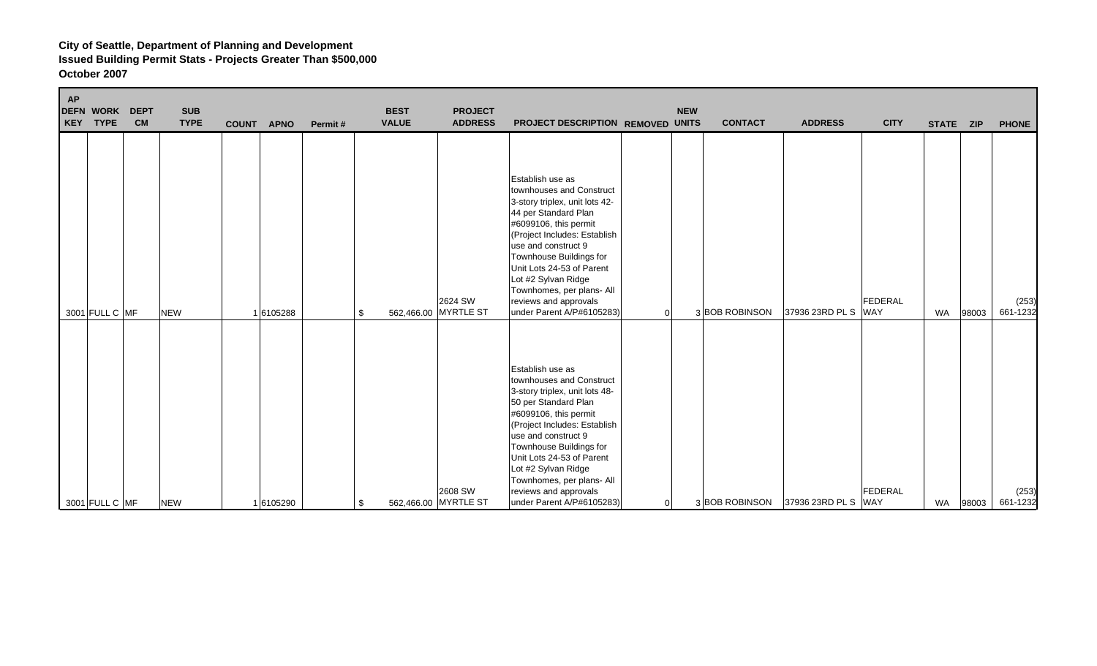| <b>AP</b> | <b>DEFN WORK</b><br>KEY TYPE | <b>DEPT</b><br><b>CM</b> | <b>SUB</b><br><b>TYPE</b> | COUNT APNO | Permit# | <b>BEST</b><br><b>VALUE</b> | <b>PROJECT</b><br><b>ADDRESS</b> | PROJECT DESCRIPTION REMOVED UNITS                                                                                                                                                                                                                                                                                                                        |   | <b>NEW</b> | <b>CONTACT</b> | <b>ADDRESS</b>      | <b>CITY</b> | STATE ZIP |       | <b>PHONE</b>      |
|-----------|------------------------------|--------------------------|---------------------------|------------|---------|-----------------------------|----------------------------------|----------------------------------------------------------------------------------------------------------------------------------------------------------------------------------------------------------------------------------------------------------------------------------------------------------------------------------------------------------|---|------------|----------------|---------------------|-------------|-----------|-------|-------------------|
|           | 3001 FULL C MF               |                          | <b>NEW</b>                | 16105288   | \$      |                             | 2624 SW<br>562,466.00 MYRTLE ST  | Establish use as<br>townhouses and Construct<br>3-story triplex, unit lots 42-<br>44 per Standard Plan<br>#6099106, this permit<br>(Project Includes: Establish<br>use and construct 9<br>Townhouse Buildings for<br>Unit Lots 24-53 of Parent<br>Lot #2 Sylvan Ridge<br>Townhomes, per plans- All<br>reviews and approvals<br>under Parent A/P#6105283) | 0 |            | 3 BOB ROBINSON | 37936 23RD PL S WAY | FEDERAL     | WA        | 98003 | (253)<br>661-1232 |
|           | 3001 FULL C MF               |                          | <b>NEW</b>                | 16105290   | \$      |                             | 2608 SW<br>562,466.00 MYRTLE ST  | Establish use as<br>townhouses and Construct<br>3-story triplex, unit lots 48-<br>50 per Standard Plan<br>#6099106, this permit<br>(Project Includes: Establish<br>use and construct 9<br>Townhouse Buildings for<br>Unit Lots 24-53 of Parent<br>Lot #2 Sylvan Ridge<br>Townhomes, per plans- All<br>reviews and approvals<br>under Parent A/P#6105283) | 0 |            | 3 BOB ROBINSON | 37936 23RD PL S WAY | FEDERAL     | WA        | 98003 | (253)<br>661-1232 |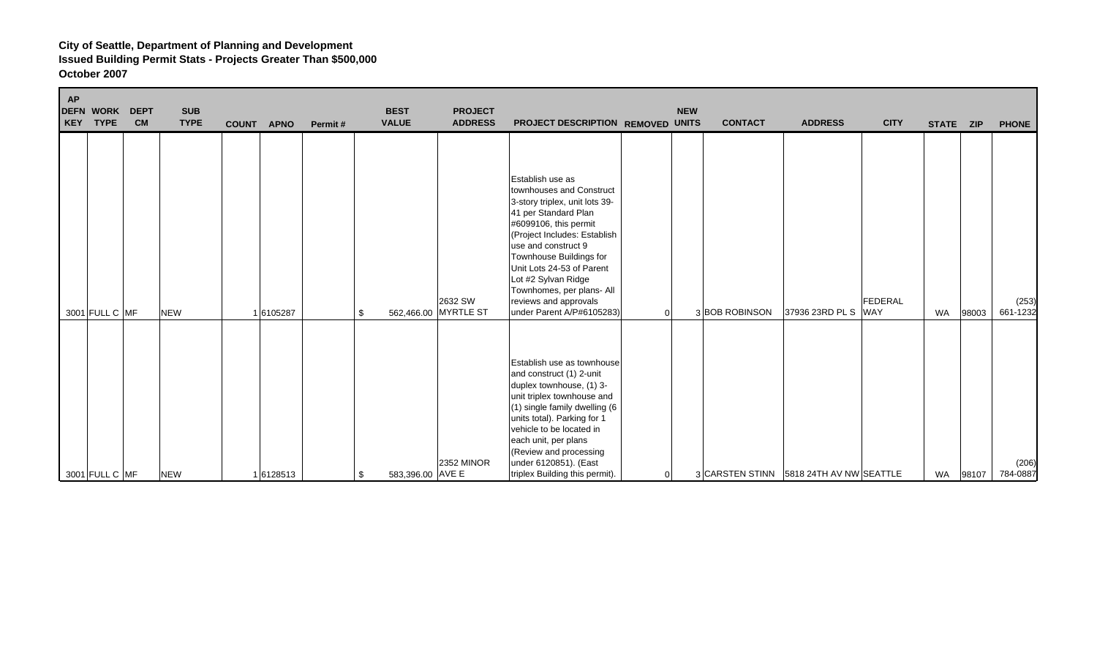| <b>AP</b> | <b>DEFN WORK</b><br>KEY TYPE | <b>DEPT</b><br><b>CM</b> | <b>SUB</b><br><b>TYPE</b> | <b>COUNT</b> | <b>APNO</b> | Permit# | <b>BEST</b><br><b>VALUE</b> | <b>PROJECT</b><br><b>ADDRESS</b> | PROJECT DESCRIPTION REMOVED UNITS                                                                                                                                                                                                                                                                                                                        |                | <b>NEW</b> | <b>CONTACT</b> | <b>ADDRESS</b>                          | <b>CITY</b>                  | STATE ZIP |       | <b>PHONE</b>      |
|-----------|------------------------------|--------------------------|---------------------------|--------------|-------------|---------|-----------------------------|----------------------------------|----------------------------------------------------------------------------------------------------------------------------------------------------------------------------------------------------------------------------------------------------------------------------------------------------------------------------------------------------------|----------------|------------|----------------|-----------------------------------------|------------------------------|-----------|-------|-------------------|
|           | 3001 FULL C MF               |                          | <b>NEW</b>                |              | 6105287     | \$      |                             | 2632 SW<br>562,466.00 MYRTLE ST  | Establish use as<br>townhouses and Construct<br>3-story triplex, unit lots 39-<br>41 per Standard Plan<br>#6099106, this permit<br>(Project Includes: Establish<br>use and construct 9<br>Townhouse Buildings for<br>Unit Lots 24-53 of Parent<br>Lot #2 Sylvan Ridge<br>Townhomes, per plans- All<br>reviews and approvals<br>under Parent A/P#6105283) | $\overline{0}$ |            | 3 BOB ROBINSON | 37936 23RD PL S                         | <b>FEDERAL</b><br><b>WAY</b> | <b>WA</b> | 98003 | (253)<br>661-1232 |
|           | 3001 FULL C MF               |                          | <b>NEW</b>                |              | 1 6128513   | \$      | 583,396.00 AVE E            | <b>2352 MINOR</b>                | Establish use as townhouse<br>and construct (1) 2-unit<br>duplex townhouse, (1) 3-<br>unit triplex townhouse and<br>(1) single family dwelling (6<br>units total). Parking for 1<br>vehicle to be located in<br>each unit, per plans<br>(Review and processing<br>under 6120851). (East<br>triplex Building this permit).                                | $\overline{0}$ |            |                | 3 CARSTEN STINN 5818 24TH AV NW SEATTLE |                              | <b>WA</b> | 98107 | (206)<br>784-0887 |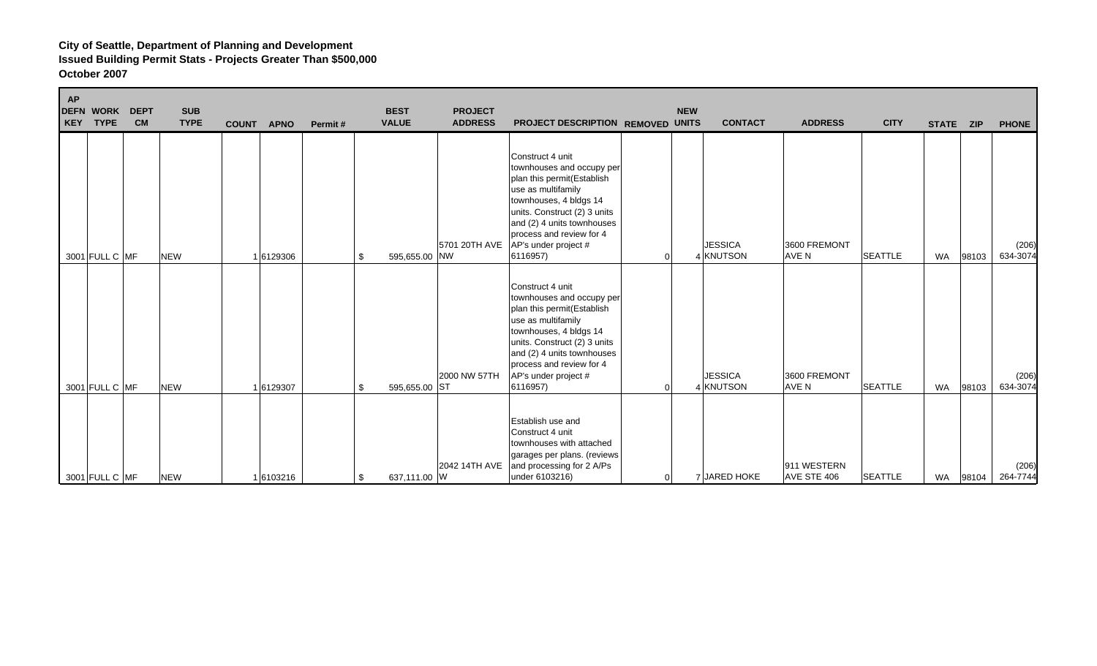| <b>AP</b><br><b>DEFN WORK</b><br><b>DEPT</b><br><b>TYPE</b><br><b>CM</b><br>KEY | <b>SUB</b><br><b>TYPE</b> | <b>APNO</b><br><b>COUNT</b> | Permit# | <b>BEST</b><br><b>VALUE</b> | <b>PROJECT</b><br><b>ADDRESS</b> | PROJECT DESCRIPTION REMOVED UNITS                                                                                                                                                                                                                         |                | <b>NEW</b><br><b>CONTACT</b> | <b>ADDRESS</b>             | <b>CITY</b>    | STATE ZIP |       | <b>PHONE</b>      |
|---------------------------------------------------------------------------------|---------------------------|-----------------------------|---------|-----------------------------|----------------------------------|-----------------------------------------------------------------------------------------------------------------------------------------------------------------------------------------------------------------------------------------------------------|----------------|------------------------------|----------------------------|----------------|-----------|-------|-------------------|
| 3001 FULL C MF                                                                  | <b>NEW</b>                | 1 6129306                   |         | 595,655.00 NW<br>\$         | 5701 20TH AVE                    | Construct 4 unit<br>townhouses and occupy per<br>plan this permit(Establish<br>use as multifamily<br>townhouses, 4 bldgs 14<br>units. Construct (2) 3 units<br>and (2) 4 units townhouses<br>process and review for 4<br>AP's under project #<br>6116957) | 0              | <b>JESSICA</b><br>4 KNUTSON  | 3600 FREMONT<br>AVE N      | <b>SEATTLE</b> | <b>WA</b> | 98103 | (206)<br>634-3074 |
| 3001 FULL C MF                                                                  | <b>NEW</b>                | 1 6129307                   |         | 595,655.00 ST<br>\$         | 2000 NW 57TH                     | Construct 4 unit<br>townhouses and occupy per<br>plan this permit(Establish<br>use as multifamily<br>townhouses, 4 bldgs 14<br>units. Construct (2) 3 units<br>and (2) 4 units townhouses<br>process and review for 4<br>AP's under project #<br>6116957) | U              | <b>JESSICA</b><br>4 KNUTSON  | 3600 FREMONT<br>AVE N      | <b>SEATTLE</b> | <b>WA</b> | 98103 | (206)<br>634-3074 |
| 3001 FULL C MF                                                                  | <b>NEW</b>                | 1 6103216                   |         | 637,111.00 W<br>\$          | 2042 14TH AVE                    | Establish use and<br>Construct 4 unit<br>townhouses with attached<br>garages per plans. (reviews<br>and processing for 2 A/Ps<br>under 6103216)                                                                                                           | $\overline{0}$ | 7 JARED HOKE                 | 911 WESTERN<br>AVE STE 406 | <b>SEATTLE</b> | <b>WA</b> | 98104 | (206)<br>264-7744 |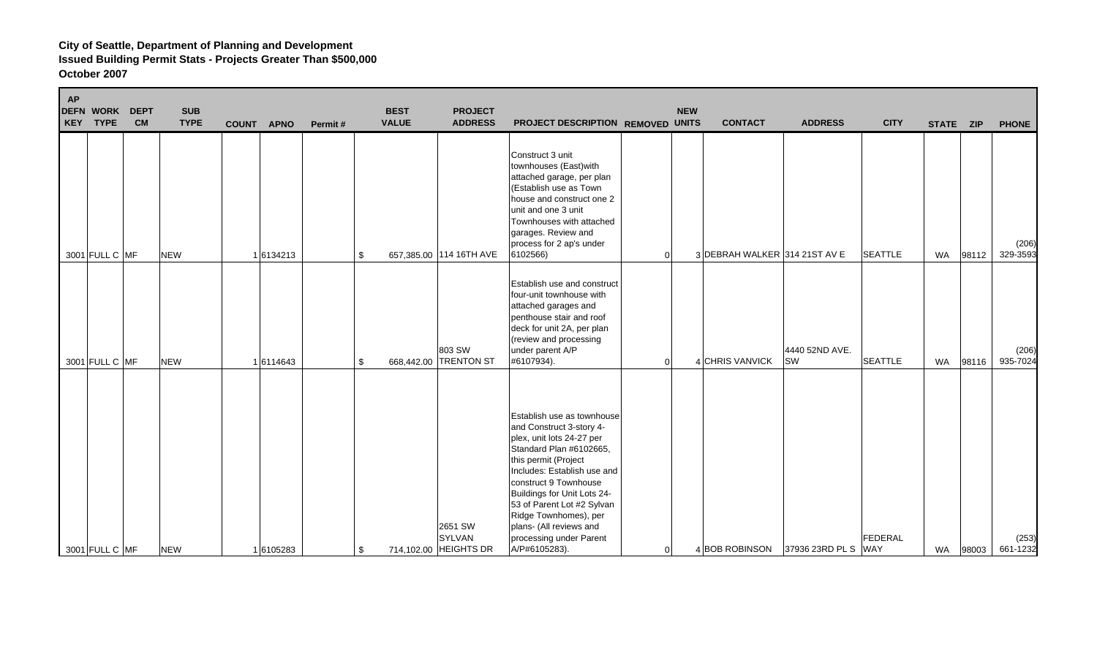| <b>AP</b> | <b>DEFN WORK</b><br><b>KEY TYPE</b> | <b>DEPT</b><br><b>CM</b> | <b>SUB</b><br><b>TYPE</b> | COUNT APNO | Permit# | <b>BEST</b><br><b>VALUE</b>   | <b>PROJECT</b><br><b>ADDRESS</b> | PROJECT DESCRIPTION REMOVED UNITS                                                                                                                                                                                                                                                                                                                           | <b>NEW</b> | <b>CONTACT</b>                | <b>ADDRESS</b>              | <b>CITY</b>    | STATE ZIP |       | <b>PHONE</b>      |
|-----------|-------------------------------------|--------------------------|---------------------------|------------|---------|-------------------------------|----------------------------------|-------------------------------------------------------------------------------------------------------------------------------------------------------------------------------------------------------------------------------------------------------------------------------------------------------------------------------------------------------------|------------|-------------------------------|-----------------------------|----------------|-----------|-------|-------------------|
|           | 3001 FULL C MF                      |                          | <b>NEW</b>                | 16134213   |         | \$<br>657,385.00 114 16TH AVE |                                  | Construct 3 unit<br>townhouses (East) with<br>attached garage, per plan<br>(Establish use as Town<br>house and construct one 2<br>unit and one 3 unit<br>Townhouses with attached<br>garages. Review and<br>process for 2 ap's under<br>6102566)                                                                                                            | $\Omega$   | 3 DEBRAH WALKER 314 21ST AV E |                             | <b>SEATTLE</b> | <b>WA</b> | 98112 | (206)<br>329-3593 |
|           | 3001 FULL C MF                      |                          | <b>NEW</b>                | 1 6114643  |         | \$<br>668,442.00 TRENTON ST   | 803 SW                           | Establish use and construct<br>four-unit townhouse with<br>attached garages and<br>penthouse stair and roof<br>deck for unit 2A, per plan<br>(review and processing<br>under parent A/P<br>#6107934).                                                                                                                                                       | 0          | 4 CHRIS VANVICK               | 4440 52ND AVE.<br><b>SW</b> | <b>SEATTLE</b> | WA        | 98116 | (206)<br>935-7024 |
|           | 3001 FULL C MF                      |                          | <b>NEW</b>                | 1 6105283  |         | \$<br>714,102.00 HEIGHTS DR   | 2651 SW<br>SYLVAN                | Establish use as townhouse<br>and Construct 3-story 4-<br>plex, unit lots 24-27 per<br>Standard Plan #6102665,<br>this permit (Project<br>Includes: Establish use and<br>construct 9 Townhouse<br>Buildings for Unit Lots 24-<br>53 of Parent Lot #2 Sylvan<br>Ridge Townhomes), per<br>plans- (All reviews and<br>processing under Parent<br>A/P#6105283). | 0          | 4 BOB ROBINSON                | 37936 23RD PL S WAY         | FEDERAL        | WA        | 98003 | (253)<br>661-1232 |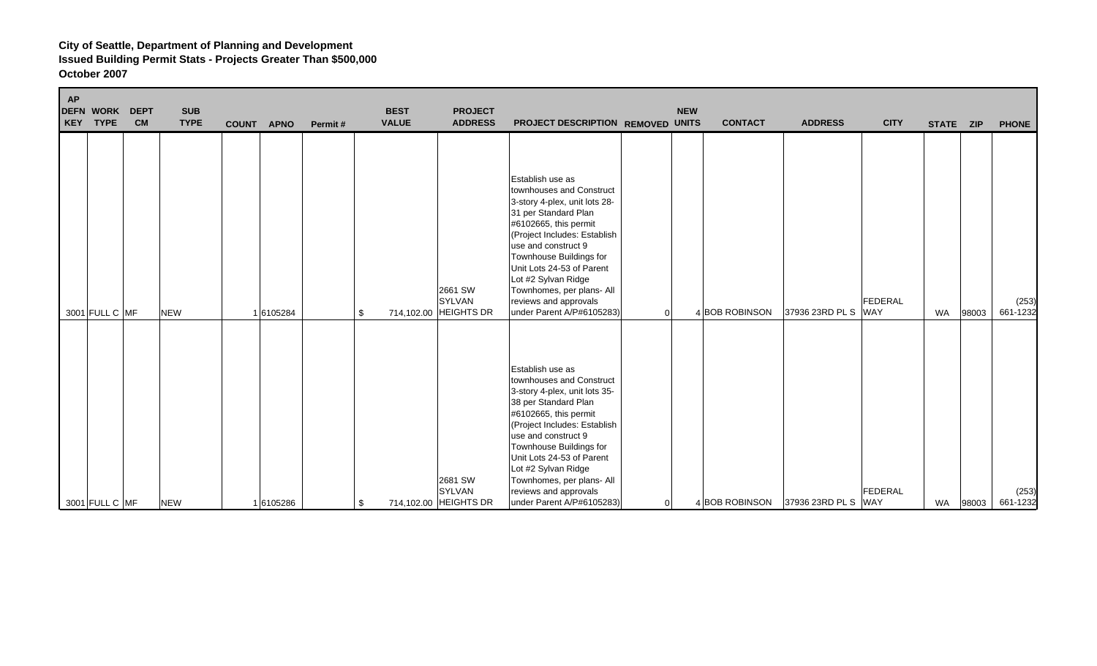| <b>AP</b> | <b>DEFN WORK</b><br>KEY TYPE | <b>DEPT</b><br><b>CM</b> | <b>SUB</b><br><b>TYPE</b> | COUNT APNO | Permit# | <b>BEST</b><br><b>VALUE</b> | <b>PROJECT</b><br><b>ADDRESS</b>           | PROJECT DESCRIPTION REMOVED UNITS                                                                                                                                                                                                                                                                                                                       |   | <b>NEW</b> | <b>CONTACT</b> | <b>ADDRESS</b>      | <b>CITY</b>           | STATE ZIP |       | <b>PHONE</b>      |
|-----------|------------------------------|--------------------------|---------------------------|------------|---------|-----------------------------|--------------------------------------------|---------------------------------------------------------------------------------------------------------------------------------------------------------------------------------------------------------------------------------------------------------------------------------------------------------------------------------------------------------|---|------------|----------------|---------------------|-----------------------|-----------|-------|-------------------|
|           | 3001 FULL C MF               |                          | <b>NEW</b>                | 16105284   | \$      |                             | 2661 SW<br>SYLVAN<br>714,102.00 HEIGHTS DR | Establish use as<br>townhouses and Construct<br>3-story 4-plex, unit lots 28-<br>31 per Standard Plan<br>#6102665, this permit<br>(Project Includes: Establish<br>use and construct 9<br>Townhouse Buildings for<br>Unit Lots 24-53 of Parent<br>Lot #2 Sylvan Ridge<br>Townhomes, per plans- All<br>reviews and approvals<br>under Parent A/P#6105283) | 0 |            | 4 BOB ROBINSON | 37936 23RD PL S     | FEDERAL<br><b>WAY</b> | WA        | 98003 | (253)<br>661-1232 |
|           | 3001 FULL C MF               |                          | <b>NEW</b>                | 16105286   | \$      |                             | 2681 SW<br>SYLVAN<br>714,102.00 HEIGHTS DR | Establish use as<br>townhouses and Construct<br>3-story 4-plex, unit lots 35-<br>38 per Standard Plan<br>#6102665, this permit<br>(Project Includes: Establish<br>use and construct 9<br>Townhouse Buildings for<br>Unit Lots 24-53 of Parent<br>Lot #2 Sylvan Ridge<br>Townhomes, per plans- All<br>reviews and approvals<br>under Parent A/P#6105283) | 0 |            | 4 BOB ROBINSON | 37936 23RD PL S WAY | FEDERAL               | WA        | 98003 | (253)<br>661-1232 |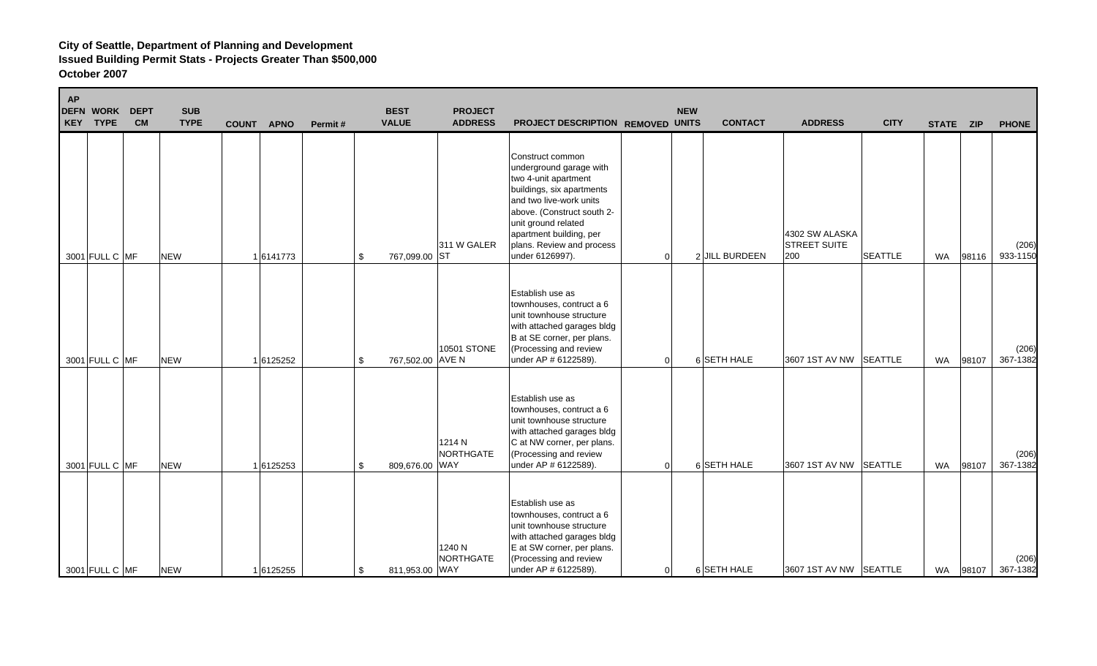| AP | <b>DEFN WORK</b><br>KEY TYPE | <b>DEPT</b><br><b>CM</b> | <b>SUB</b><br><b>TYPE</b> | <b>COUNT</b> | <b>APNO</b> | Permit# | <b>BEST</b><br><b>VALUE</b> | <b>PROJECT</b><br><b>ADDRESS</b> | PROJECT DESCRIPTION REMOVED UNITS                                                                                                                                                                                                                           | <b>NEW</b>     | <b>CONTACT</b> | <b>ADDRESS</b>                               | <b>CITY</b>    | STATE ZIP |       | <b>PHONE</b>      |
|----|------------------------------|--------------------------|---------------------------|--------------|-------------|---------|-----------------------------|----------------------------------|-------------------------------------------------------------------------------------------------------------------------------------------------------------------------------------------------------------------------------------------------------------|----------------|----------------|----------------------------------------------|----------------|-----------|-------|-------------------|
|    | 3001 FULL C MF               |                          | <b>NEW</b>                |              | 16141773    | \$      | 767,099.00 ST               | 311 W GALER                      | Construct common<br>underground garage with<br>two 4-unit apartment<br>buildings, six apartments<br>and two live-work units<br>above. (Construct south 2-<br>unit ground related<br>apartment building, per<br>plans. Review and process<br>under 6126997). | $\Omega$       | 2 JILL BURDEEN | 4302 SW ALASKA<br><b>STREET SUITE</b><br>200 | <b>SEATTLE</b> | WA        | 98116 | (206)<br>933-1150 |
|    | 3001 FULL C MF               |                          | <b>NEW</b>                |              | 16125252    | \$      | 767,502.00 AVE N            | <b>10501 STONE</b>               | Establish use as<br>townhouses, contruct a 6<br>unit townhouse structure<br>with attached garages bldg<br>B at SE corner, per plans.<br>(Processing and review<br>under AP # 6122589).                                                                      | $\Omega$       | 6 SETH HALE    | 3607 1ST AV NW SEATTLE                       |                | WA        | 98107 | (206)<br>367-1382 |
|    | 3001 FULL C MF               |                          | <b>NEW</b>                |              | 16125253    | \$      | 809,676.00 WAY              | 1214 N<br>NORTHGATE              | Establish use as<br>townhouses, contruct a 6<br>unit townhouse structure<br>with attached garages bldg<br>C at NW corner, per plans.<br>(Processing and review<br>under AP # 6122589).                                                                      | $\overline{0}$ | 6 SETH HALE    | 3607 1ST AV NW SEATTLE                       |                | WA        | 98107 | (206)<br>367-1382 |
|    | 3001 FULL C MF               |                          | <b>NEW</b>                |              | 16125255    | \$      | 811,953.00 WAY              | 1240 N<br><b>NORTHGATE</b>       | Establish use as<br>townhouses, contruct a 6<br>unit townhouse structure<br>with attached garages bldg<br>E at SW corner, per plans.<br>(Processing and review<br>under AP # 6122589).                                                                      | 0              | 6 SETH HALE    | 3607 1ST AV NW SEATTLE                       |                | WA        | 98107 | (206)<br>367-1382 |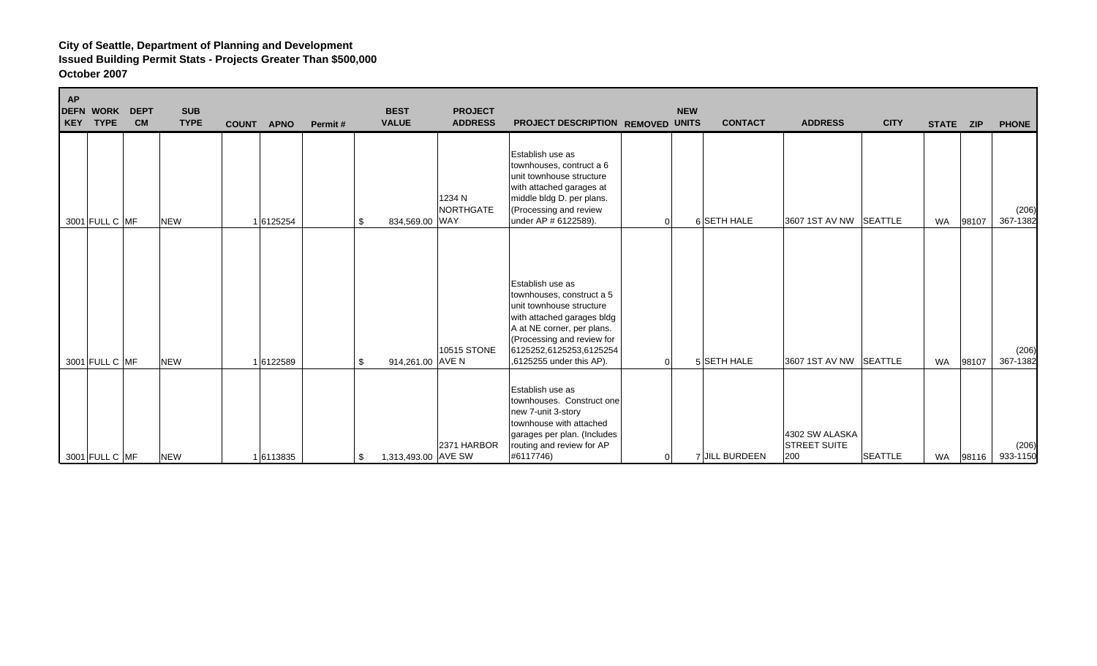| <b>AP</b><br><b>DEFN WORK</b><br><b>DEPT</b><br><b>TYPE</b><br><b>CM</b><br>KEY | <b>SUB</b><br><b>TYPE</b> | <b>COUNT</b><br><b>APNO</b><br>Permit# | <b>BEST</b><br><b>PROJECT</b><br><b>ADDRESS</b><br><b>VALUE</b> | PROJECT DESCRIPTION REMOVED UNITS                                                                                                                                                                                          |          | <b>NEW</b> | <b>CONTACT</b> | <b>ADDRESS</b>                               | <b>CITY</b>    | STATE ZIP |       | <b>PHONE</b>      |
|---------------------------------------------------------------------------------|---------------------------|----------------------------------------|-----------------------------------------------------------------|----------------------------------------------------------------------------------------------------------------------------------------------------------------------------------------------------------------------------|----------|------------|----------------|----------------------------------------------|----------------|-----------|-------|-------------------|
| 3001 FULL C MF                                                                  | <b>NEW</b>                | 1 6125254                              | \$<br>1234 N<br>NORTHGATE<br>834,569.00 WAY                     | Establish use as<br>townhouses, contruct a 6<br>unit townhouse structure<br>with attached garages at<br>middle bldg D. per plans.<br>(Processing and review<br>under AP # 6122589).                                        |          |            | 6 SETH HALE    | 3607 1ST AV NW SEATTLE                       |                | <b>WA</b> | 98107 | (206)<br>367-1382 |
| 3001 FULL C MF                                                                  | <b>NEW</b>                | 1 6122589                              | \$<br>10515 STONE<br>914,261.00 AVE N                           | Establish use as<br>townhouses, construct a 5<br>unit townhouse structure<br>with attached garages bldg<br>A at NE corner, per plans.<br>(Processing and review for<br>6125252,6125253,6125254<br>.6125255 under this AP). | $\Omega$ |            | 5 SETH HALE    | 3607 1ST AV NW SEATTLE                       |                | <b>WA</b> | 98107 | (206)<br>367-1382 |
| 3001 FULL C MF                                                                  | <b>NEW</b>                | 16113835                               | 2371 HARBOR<br>1,313,493.00 AVE SW                              | Establish use as<br>townhouses. Construct one<br>new 7-unit 3-story<br>townhouse with attached<br>garages per plan. (Includes<br>routing and review for AP<br>#6117746)                                                    |          |            | 7 JILL BURDEEN | 4302 SW ALASKA<br><b>STREET SUITE</b><br>200 | <b>SEATTLE</b> | WA        | 98116 | (206)<br>933-1150 |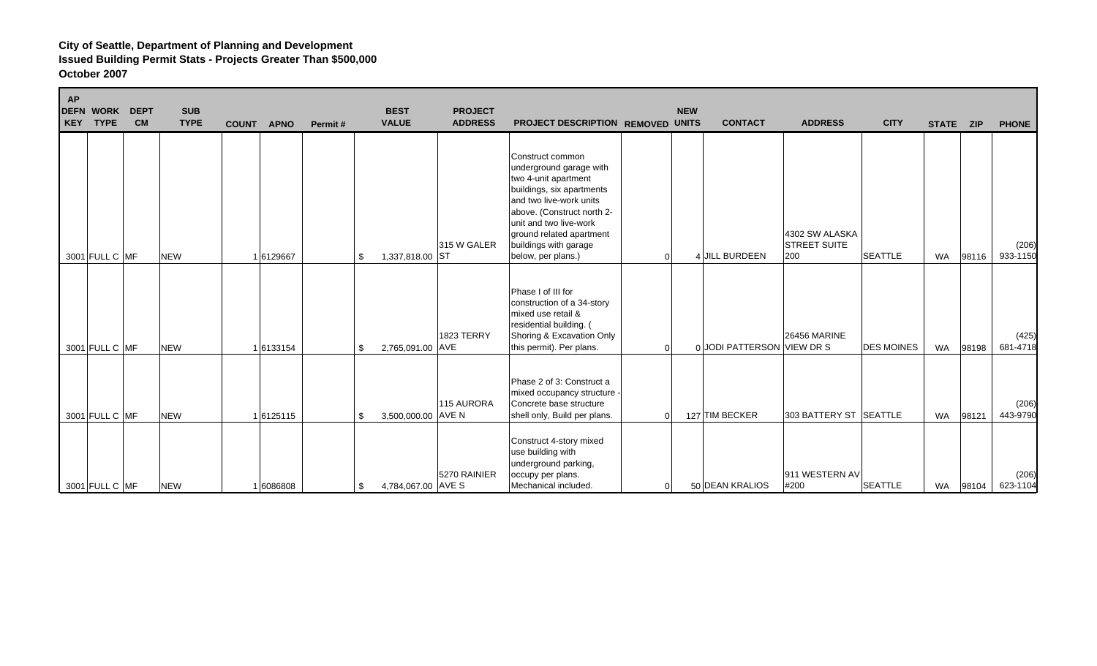| <b>AP</b><br><b>DEFN WORK</b><br><b>DEPT</b><br><b>CM</b><br>KEY TYPE | <b>SUB</b><br><b>TYPE</b> | <b>COUNT</b><br><b>APNO</b> | Permit# | <b>BEST</b><br><b>VALUE</b> | <b>PROJECT</b><br><b>ADDRESS</b> | PROJECT DESCRIPTION REMOVED UNITS                                                                                                                                                                                                                              |          | <b>NEW</b> | <b>CONTACT</b>             | <b>ADDRESS</b>                               | <b>CITY</b>       | STATE ZIP |       | <b>PHONE</b>      |
|-----------------------------------------------------------------------|---------------------------|-----------------------------|---------|-----------------------------|----------------------------------|----------------------------------------------------------------------------------------------------------------------------------------------------------------------------------------------------------------------------------------------------------------|----------|------------|----------------------------|----------------------------------------------|-------------------|-----------|-------|-------------------|
| 3001 FULL C MF                                                        | <b>NEW</b>                | 1 6129667                   |         | 1,337,818.00 ST<br>\$.      | 315 W GALER                      | Construct common<br>underground garage with<br>two 4-unit apartment<br>buildings, six apartments<br>and two live-work units<br>above. (Construct north 2-<br>unit and two live-work<br>ground related apartment<br>buildings with garage<br>below, per plans.) | 0        |            | 4 JILL BURDEEN             | 4302 SW ALASKA<br><b>STREET SUITE</b><br>200 | <b>SEATTLE</b>    | WA        | 98116 | (206)<br>933-1150 |
| 3001 FULL C MF                                                        | <b>NEW</b>                | 1 6133154                   |         | 2,765,091.00 AVE<br>\$      | 1823 TERRY                       | Phase I of III for<br>construction of a 34-story<br>mixed use retail &<br>residential building. (<br>Shoring & Excavation Only<br>this permit). Per plans.                                                                                                     | O        |            | 0 JODI PATTERSON VIEW DR S | <b>26456 MARINE</b>                          | <b>DES MOINES</b> | WA        | 98198 | (425)<br>681-4718 |
| 3001 FULL C MF                                                        | <b>NEW</b>                | 1 6125115                   |         | 3,500,000.00 AVE N<br>\$    | 115 AURORA                       | Phase 2 of 3: Construct a<br>mixed occupancy structure -<br>Concrete base structure<br>shell only, Build per plans.                                                                                                                                            | $\Omega$ |            | 127 TIM BECKER             | 303 BATTERY ST SEATTLE                       |                   | <b>WA</b> | 98121 | (206)<br>443-9790 |
| 3001 FULL C MF                                                        | <b>NEW</b>                | 6086808                     |         | 4,784,067.00 AVE S<br>-S    | 5270 RAINIER                     | Construct 4-story mixed<br>use building with<br>underground parking,<br>occupy per plans.<br>Mechanical included.                                                                                                                                              | 0        |            | 50 DEAN KRALIOS            | 911 WESTERN AV<br>#200                       | <b>SEATTLE</b>    | WA        | 98104 | (206)<br>623-1104 |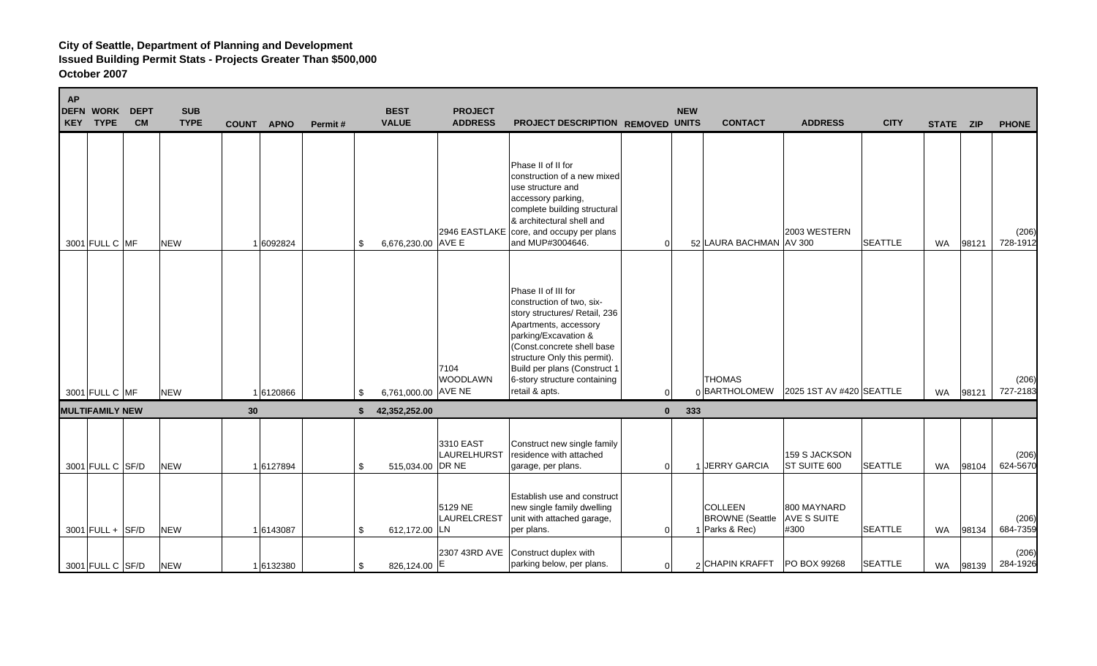| <b>AP</b> | <b>DEFN WORK</b><br>KEY TYPE | <b>DEPT</b><br><b>CM</b> | <b>SUB</b><br><b>TYPE</b> | <b>COUNT</b> | <b>APNO</b> | Permit# | <b>BEST</b><br><b>VALUE</b> | <b>PROJECT</b><br><b>ADDRESS</b> | PROJECT DESCRIPTION REMOVED UNITS                                                                                                                                                                                                                                                  |              | <b>NEW</b> | <b>CONTACT</b>                                             | <b>ADDRESS</b>                            | <b>CITY</b>    | STATE ZIP |       | <b>PHONE</b>      |
|-----------|------------------------------|--------------------------|---------------------------|--------------|-------------|---------|-----------------------------|----------------------------------|------------------------------------------------------------------------------------------------------------------------------------------------------------------------------------------------------------------------------------------------------------------------------------|--------------|------------|------------------------------------------------------------|-------------------------------------------|----------------|-----------|-------|-------------------|
|           | 3001 FULL C MF               |                          | <b>NEW</b>                |              | 1 6092824   |         | 6,676,230.00 AVE E<br>\$    | 2946 EASTLAKE                    | Phase II of II for<br>construction of a new mixed<br>use structure and<br>accessory parking,<br>complete building structural<br>& architectural shell and<br>core, and occupy per plans<br>and MUP#3004646.                                                                        | $\Omega$     |            | 52 LAURA BACHMAN AV 300                                    | 2003 WESTERN                              | <b>SEATTLE</b> | <b>WA</b> | 98121 | (206)<br>728-1912 |
|           | 3001 FULL C MF               |                          | <b>NEW</b>                |              | 1 6120866   |         | 6,761,000.00 AVE NE<br>\$   | 7104<br><b>WOODLAWN</b>          | Phase II of III for<br>construction of two, six-<br>story structures/ Retail, 236<br>Apartments, accessory<br>parking/Excavation &<br>(Const.concrete shell base<br>structure Only this permit).<br>Build per plans (Construct 1<br>6-story structure containing<br>retail & apts. | $\Omega$     |            | <b>THOMAS</b><br>0BARTHOLOMEW 2025 1ST AV #420 SEATTLE     |                                           |                | WA        | 98121 | (206)<br>727-2183 |
|           | <b>MULTIFAMILY NEW</b>       |                          |                           | 30           |             |         | 42,352,252.00<br>Ŝ.         |                                  |                                                                                                                                                                                                                                                                                    | $\mathbf{0}$ | 333        |                                                            |                                           |                |           |       |                   |
|           | 3001 FULL C SF/D             |                          | <b>NEW</b>                |              | 16127894    |         | 515,034.00 DR NE<br>\$      | 3310 EAST<br>LAURELHURST         | Construct new single family<br>residence with attached<br>garage, per plans.                                                                                                                                                                                                       | $\Omega$     | -1         | JERRY GARCIA                                               | 159 S JACKSON<br>ST SUITE 600             | <b>SEATTLE</b> | <b>WA</b> | 98104 | (206)<br>624-5670 |
|           | $3001$ FULL + SF/D           |                          | <b>NEW</b>                |              | 16143087    |         | 612,172.00 LN<br>\$         | 5129 NE<br>LAURELCREST           | Establish use and construct<br>new single family dwelling<br>unit with attached garage,<br>per plans.                                                                                                                                                                              | $\Omega$     |            | <b>COLLEEN</b><br><b>BROWNE</b> (Seattle<br>1 Parks & Rec) | 800 MAYNARD<br><b>AVE S SUITE</b><br>#300 | <b>SEATTLE</b> | <b>WA</b> | 98134 | (206)<br>684-7359 |
|           | 3001 FULL C SF/D             |                          | <b>NEW</b>                |              | 1 6132380   |         | 826,124.00 E<br>\$          | 2307 43RD AVE                    | Construct duplex with<br>parking below, per plans.                                                                                                                                                                                                                                 | $\Omega$     |            | 2 CHAPIN KRAFFT                                            | PO BOX 99268                              | <b>SEATTLE</b> | <b>WA</b> | 98139 | (206)<br>284-1926 |